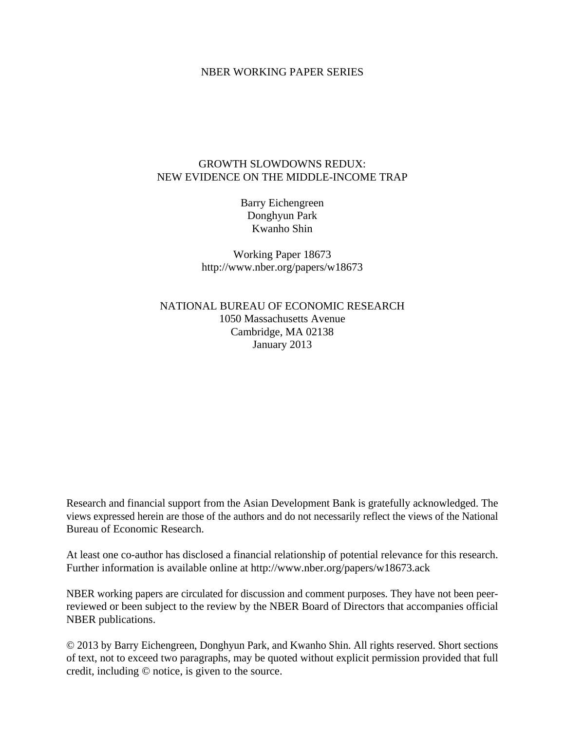### NBER WORKING PAPER SERIES

## GROWTH SLOWDOWNS REDUX: NEW EVIDENCE ON THE MIDDLE-INCOME TRAP

Barry Eichengreen Donghyun Park Kwanho Shin

Working Paper 18673 http://www.nber.org/papers/w18673

NATIONAL BUREAU OF ECONOMIC RESEARCH 1050 Massachusetts Avenue Cambridge, MA 02138 January 2013

Research and financial support from the Asian Development Bank is gratefully acknowledged. The views expressed herein are those of the authors and do not necessarily reflect the views of the National Bureau of Economic Research.

At least one co-author has disclosed a financial relationship of potential relevance for this research. Further information is available online at http://www.nber.org/papers/w18673.ack

NBER working papers are circulated for discussion and comment purposes. They have not been peerreviewed or been subject to the review by the NBER Board of Directors that accompanies official NBER publications.

© 2013 by Barry Eichengreen, Donghyun Park, and Kwanho Shin. All rights reserved. Short sections of text, not to exceed two paragraphs, may be quoted without explicit permission provided that full credit, including © notice, is given to the source.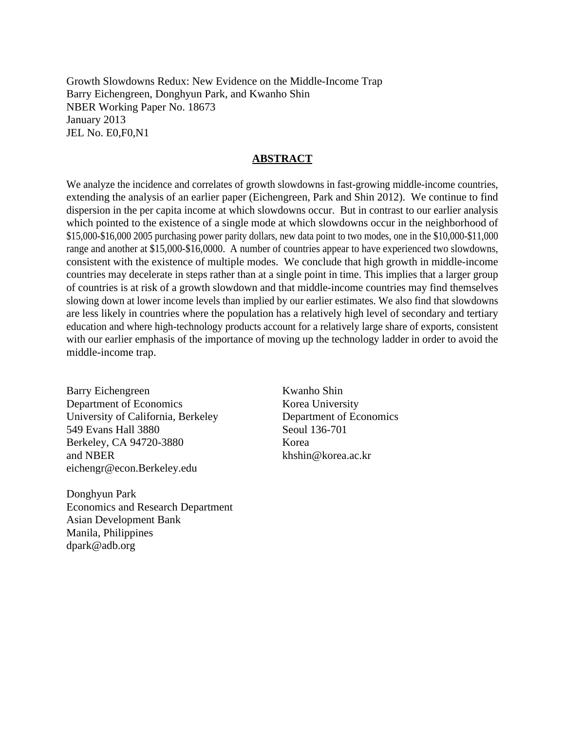Growth Slowdowns Redux: New Evidence on the Middle-Income Trap Barry Eichengreen, Donghyun Park, and Kwanho Shin NBER Working Paper No. 18673 January 2013 JEL No. E0,F0,N1

## **ABSTRACT**

We analyze the incidence and correlates of growth slowdowns in fast-growing middle-income countries, extending the analysis of an earlier paper (Eichengreen, Park and Shin 2012). We continue to find dispersion in the per capita income at which slowdowns occur. But in contrast to our earlier analysis which pointed to the existence of a single mode at which slowdowns occur in the neighborhood of \$15,000-\$16,000 2005 purchasing power parity dollars, new data point to two modes, one in the \$10,000-\$11,000 range and another at \$15,000-\$16,0000. A number of countries appear to have experienced two slowdowns, consistent with the existence of multiple modes. We conclude that high growth in middle-income countries may decelerate in steps rather than at a single point in time. This implies that a larger group of countries is at risk of a growth slowdown and that middle-income countries may find themselves slowing down at lower income levels than implied by our earlier estimates. We also find that slowdowns are less likely in countries where the population has a relatively high level of secondary and tertiary education and where high-technology products account for a relatively large share of exports, consistent with our earlier emphasis of the importance of moving up the technology ladder in order to avoid the middle-income trap.

Barry Eichengreen Department of Economics University of California, Berkeley 549 Evans Hall 3880 Berkeley, CA 94720-3880 and NBER eichengr@econ.Berkeley.edu

Donghyun Park Economics and Research Department Asian Development Bank Manila, Philippines dpark@adb.org

Kwanho Shin Korea University Department of Economics Seoul 136-701 Korea khshin@korea.ac.kr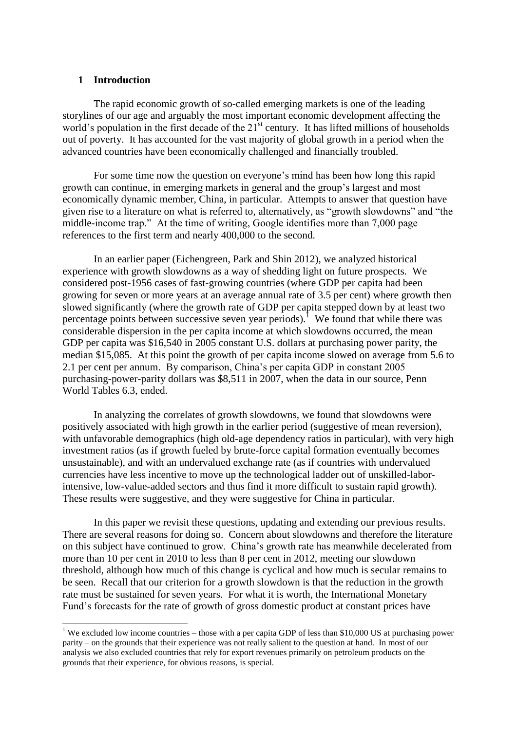### **1 Introduction**

**.** 

The rapid economic growth of so-called emerging markets is one of the leading storylines of our age and arguably the most important economic development affecting the world's population in the first decade of the 21<sup>st</sup> century. It has lifted millions of households out of poverty. It has accounted for the vast majority of global growth in a period when the advanced countries have been economically challenged and financially troubled.

For some time now the question on everyone's mind has been how long this rapid growth can continue, in emerging markets in general and the group's largest and most economically dynamic member, China, in particular. Attempts to answer that question have given rise to a literature on what is referred to, alternatively, as "growth slowdowns" and "the middle-income trap." At the time of writing, Google identifies more than 7,000 page references to the first term and nearly 400,000 to the second.

In an earlier paper (Eichengreen, Park and Shin 2012), we analyzed historical experience with growth slowdowns as a way of shedding light on future prospects. We considered post-1956 cases of fast-growing countries (where GDP per capita had been growing for seven or more years at an average annual rate of 3.5 per cent) where growth then slowed significantly (where the growth rate of GDP per capita stepped down by at least two percentage points between successive seven year periods).<sup>1</sup> We found that while there was considerable dispersion in the per capita income at which slowdowns occurred, the mean GDP per capita was \$16,540 in 2005 constant U.S. dollars at purchasing power parity, the median \$15,085. At this point the growth of per capita income slowed on average from 5.6 to 2.1 per cent per annum. By comparison, China's per capita GDP in constant 2005 purchasing-power-parity dollars was \$8,511 in 2007, when the data in our source, Penn World Tables 6.3, ended.

In analyzing the correlates of growth slowdowns, we found that slowdowns were positively associated with high growth in the earlier period (suggestive of mean reversion), with unfavorable demographics (high old-age dependency ratios in particular), with very high investment ratios (as if growth fueled by brute-force capital formation eventually becomes unsustainable), and with an undervalued exchange rate (as if countries with undervalued currencies have less incentive to move up the technological ladder out of unskilled-laborintensive, low-value-added sectors and thus find it more difficult to sustain rapid growth). These results were suggestive, and they were suggestive for China in particular.

In this paper we revisit these questions, updating and extending our previous results. There are several reasons for doing so. Concern about slowdowns and therefore the literature on this subject have continued to grow. China's growth rate has meanwhile decelerated from more than 10 per cent in 2010 to less than 8 per cent in 2012, meeting our slowdown threshold, although how much of this change is cyclical and how much is secular remains to be seen. Recall that our criterion for a growth slowdown is that the reduction in the growth rate must be sustained for seven years. For what it is worth, the International Monetary Fund's forecasts for the rate of growth of gross domestic product at constant prices have

<sup>&</sup>lt;sup>1</sup> We excluded low income countries – those with a per capita GDP of less than \$10,000 US at purchasing power parity – on the grounds that their experience was not really salient to the question at hand. In most of our analysis we also excluded countries that rely for export revenues primarily on petroleum products on the grounds that their experience, for obvious reasons, is special.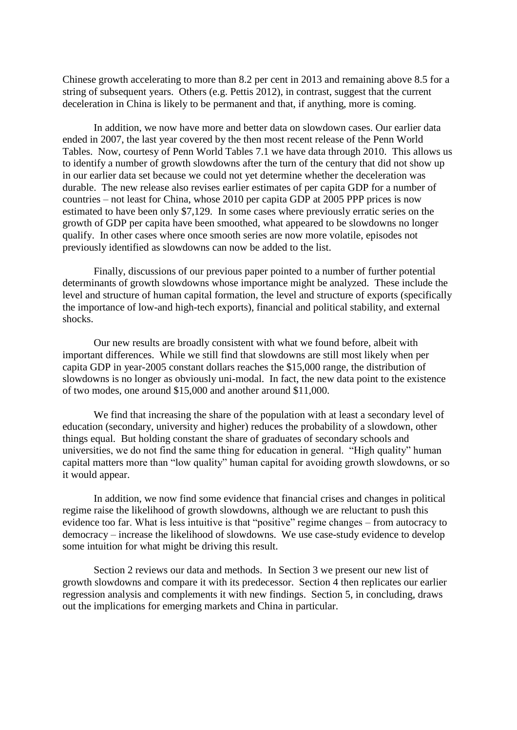Chinese growth accelerating to more than 8.2 per cent in 2013 and remaining above 8.5 for a string of subsequent years. Others (e.g. Pettis 2012), in contrast, suggest that the current deceleration in China is likely to be permanent and that, if anything, more is coming.

In addition, we now have more and better data on slowdown cases. Our earlier data ended in 2007, the last year covered by the then most recent release of the Penn World Tables. Now, courtesy of Penn World Tables 7.1 we have data through 2010. This allows us to identify a number of growth slowdowns after the turn of the century that did not show up in our earlier data set because we could not yet determine whether the deceleration was durable. The new release also revises earlier estimates of per capita GDP for a number of countries – not least for China, whose 2010 per capita GDP at 2005 PPP prices is now estimated to have been only \$7,129. In some cases where previously erratic series on the growth of GDP per capita have been smoothed, what appeared to be slowdowns no longer qualify. In other cases where once smooth series are now more volatile, episodes not previously identified as slowdowns can now be added to the list.

Finally, discussions of our previous paper pointed to a number of further potential determinants of growth slowdowns whose importance might be analyzed. These include the level and structure of human capital formation, the level and structure of exports (specifically the importance of low-and high-tech exports), financial and political stability, and external shocks.

Our new results are broadly consistent with what we found before, albeit with important differences. While we still find that slowdowns are still most likely when per capita GDP in year-2005 constant dollars reaches the \$15,000 range, the distribution of slowdowns is no longer as obviously uni-modal. In fact, the new data point to the existence of two modes, one around \$15,000 and another around \$11,000.

We find that increasing the share of the population with at least a secondary level of education (secondary, university and higher) reduces the probability of a slowdown, other things equal. But holding constant the share of graduates of secondary schools and universities, we do not find the same thing for education in general. "High quality" human capital matters more than "low quality" human capital for avoiding growth slowdowns, or so it would appear.

In addition, we now find some evidence that financial crises and changes in political regime raise the likelihood of growth slowdowns, although we are reluctant to push this evidence too far. What is less intuitive is that "positive" regime changes – from autocracy to democracy – increase the likelihood of slowdowns. We use case-study evidence to develop some intuition for what might be driving this result.

Section 2 reviews our data and methods. In Section 3 we present our new list of growth slowdowns and compare it with its predecessor. Section 4 then replicates our earlier regression analysis and complements it with new findings. Section 5, in concluding, draws out the implications for emerging markets and China in particular.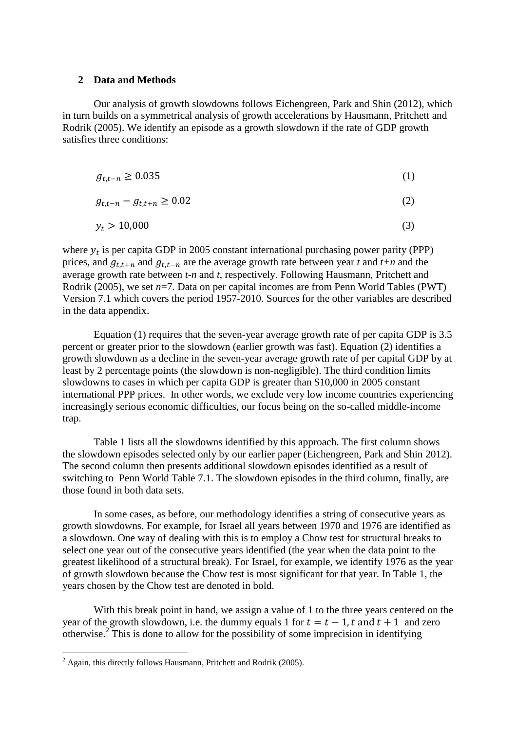### **2 Data and Methods**

Our analysis of growth slowdowns follows Eichengreen, Park and Shin (2012), which in turn builds on a symmetrical analysis of growth accelerations by Hausmann, Pritchett and Rodrik (2005). We identify an episode as a growth slowdown if the rate of GDP growth satisfies three conditions:

$$
g_{t,t-n} \ge 0.035\tag{1}
$$

$$
g_{t,t-n} - g_{t,t+n} \ge 0.02
$$
 (2)

$$
y_t > 10,000\tag{3}
$$

where  $y_t$  is per capita GDP in 2005 constant international purchasing power parity (PPP) prices, and  $g_{t,t+n}$  and  $g_{t,t-n}$  are the average growth rate between year *t* and *t+n* and the average growth rate between *t-n* and *t*, respectively. Following Hausmann, Pritchett and Rodrik (2005), we set *n*=7. Data on per capital incomes are from Penn World Tables (PWT) Version 7.1 which covers the period 1957-2010. Sources for the other variables are described in the data appendix.

Equation (1) requires that the seven-year average growth rate of per capita GDP is 3.5 percent or greater prior to the slowdown (earlier growth was fast). Equation (2) identifies a growth slowdown as a decline in the seven-year average growth rate of per capital GDP by at least by 2 percentage points (the slowdown is non-negligible). The third condition limits slowdowns to cases in which per capita GDP is greater than \$10,000 in 2005 constant international PPP prices. In other words, we exclude very low income countries experiencing increasingly serious economic difficulties, our focus being on the so-called middle-income trap.

Table 1 lists all the slowdowns identified by this approach. The first column shows the slowdown episodes selected only by our earlier paper (Eichengreen, Park and Shin 2012). The second column then presents additional slowdown episodes identified as a result of switching to Penn World Table 7.1. The slowdown episodes in the third column, finally, are those found in both data sets.

In some cases, as before, our methodology identifies a string of consecutive years as growth slowdowns. For example, for Israel all years between 1970 and 1976 are identified as a slowdown. One way of dealing with this is to employ a Chow test for structural breaks to select one year out of the consecutive years identified (the year when the data point to the greatest likelihood of a structural break). For Israel, for example, we identify 1976 as the year of growth slowdown because the Chow test is most significant for that year. In Table 1, the years chosen by the Chow test are denoted in bold.

With this break point in hand, we assign a value of 1 to the three years centered on the year of the growth slowdown, i.e. the dummy equals 1 for  $t = t - 1$ , t and  $t + 1$  and zero otherwise. $2^{2}$ This is done to allow for the possibility of some imprecision in identifying

**.** 

 $^{2}$  Again, this directly follows Hausmann, Pritchett and Rodrik (2005).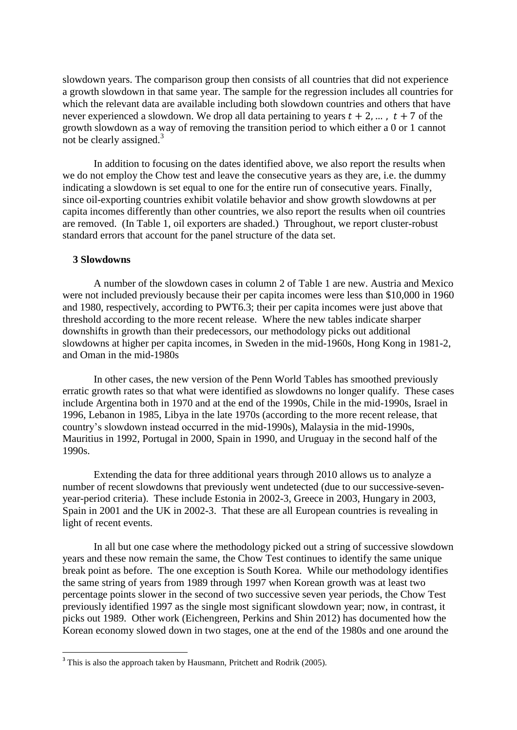slowdown years. The comparison group then consists of all countries that did not experience a growth slowdown in that same year. The sample for the regression includes all countries for which the relevant data are available including both slowdown countries and others that have never experienced a slowdown. We drop all data pertaining to years  $t + 2, \ldots, t + 7$  of the growth slowdown as a way of removing the transition period to which either a 0 or 1 cannot not be clearly assigned. $3$ 

In addition to focusing on the dates identified above, we also report the results when we do not employ the Chow test and leave the consecutive years as they are, i.e. the dummy indicating a slowdown is set equal to one for the entire run of consecutive years. Finally, since oil-exporting countries exhibit volatile behavior and show growth slowdowns at per capita incomes differently than other countries, we also report the results when oil countries are removed. (In Table 1, oil exporters are shaded.) Throughout, we report cluster-robust standard errors that account for the panel structure of the data set.

### **3 Slowdowns**

**.** 

A number of the slowdown cases in column 2 of Table 1 are new. Austria and Mexico were not included previously because their per capita incomes were less than \$10,000 in 1960 and 1980, respectively, according to PWT6.3; their per capita incomes were just above that threshold according to the more recent release. Where the new tables indicate sharper downshifts in growth than their predecessors, our methodology picks out additional slowdowns at higher per capita incomes, in Sweden in the mid-1960s, Hong Kong in 1981-2, and Oman in the mid-1980s

In other cases, the new version of the Penn World Tables has smoothed previously erratic growth rates so that what were identified as slowdowns no longer qualify. These cases include Argentina both in 1970 and at the end of the 1990s, Chile in the mid-1990s, Israel in 1996, Lebanon in 1985, Libya in the late 1970s (according to the more recent release, that country's slowdown instead occurred in the mid-1990s), Malaysia in the mid-1990s, Mauritius in 1992, Portugal in 2000, Spain in 1990, and Uruguay in the second half of the 1990s.

Extending the data for three additional years through 2010 allows us to analyze a number of recent slowdowns that previously went undetected (due to our successive-sevenyear-period criteria). These include Estonia in 2002-3, Greece in 2003, Hungary in 2003, Spain in 2001 and the UK in 2002-3. That these are all European countries is revealing in light of recent events.

In all but one case where the methodology picked out a string of successive slowdown years and these now remain the same, the Chow Test continues to identify the same unique break point as before. The one exception is South Korea. While our methodology identifies the same string of years from 1989 through 1997 when Korean growth was at least two percentage points slower in the second of two successive seven year periods, the Chow Test previously identified 1997 as the single most significant slowdown year; now, in contrast, it picks out 1989. Other work (Eichengreen, Perkins and Shin 2012) has documented how the Korean economy slowed down in two stages, one at the end of the 1980s and one around the

<sup>&</sup>lt;sup>3</sup> This is also the approach taken by Hausmann, Pritchett and Rodrik (2005).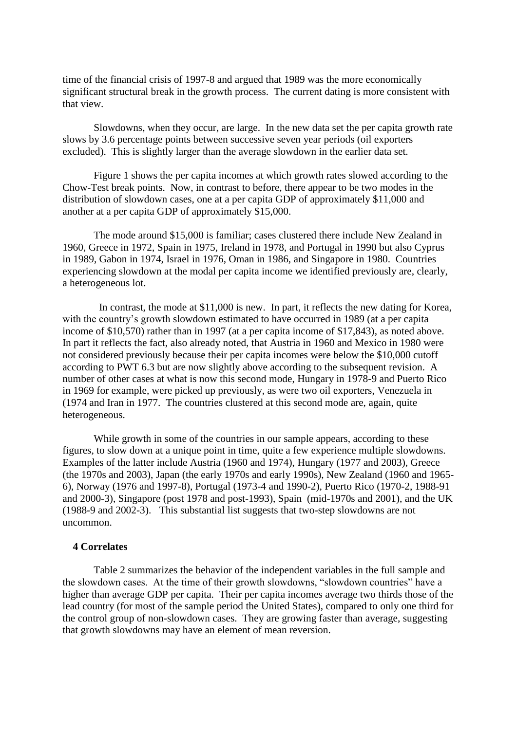time of the financial crisis of 1997-8 and argued that 1989 was the more economically significant structural break in the growth process. The current dating is more consistent with that view.

Slowdowns, when they occur, are large. In the new data set the per capita growth rate slows by 3.6 percentage points between successive seven year periods (oil exporters excluded). This is slightly larger than the average slowdown in the earlier data set.

Figure 1 shows the per capita incomes at which growth rates slowed according to the Chow-Test break points. Now, in contrast to before, there appear to be two modes in the distribution of slowdown cases, one at a per capita GDP of approximately \$11,000 and another at a per capita GDP of approximately \$15,000.

The mode around \$15,000 is familiar; cases clustered there include New Zealand in 1960, Greece in 1972, Spain in 1975, Ireland in 1978, and Portugal in 1990 but also Cyprus in 1989, Gabon in 1974, Israel in 1976, Oman in 1986, and Singapore in 1980. Countries experiencing slowdown at the modal per capita income we identified previously are, clearly, a heterogeneous lot.

 In contrast, the mode at \$11,000 is new. In part, it reflects the new dating for Korea, with the country's growth slowdown estimated to have occurred in 1989 (at a per capita income of \$10,570) rather than in 1997 (at a per capita income of \$17,843), as noted above. In part it reflects the fact, also already noted, that Austria in 1960 and Mexico in 1980 were not considered previously because their per capita incomes were below the \$10,000 cutoff according to PWT 6.3 but are now slightly above according to the subsequent revision. A number of other cases at what is now this second mode, Hungary in 1978-9 and Puerto Rico in 1969 for example, were picked up previously, as were two oil exporters, Venezuela in (1974 and Iran in 1977. The countries clustered at this second mode are, again, quite heterogeneous.

While growth in some of the countries in our sample appears, according to these figures, to slow down at a unique point in time, quite a few experience multiple slowdowns. Examples of the latter include Austria (1960 and 1974), Hungary (1977 and 2003), Greece (the 1970s and 2003), Japan (the early 1970s and early 1990s), New Zealand (1960 and 1965- 6), Norway (1976 and 1997-8), Portugal (1973-4 and 1990-2), Puerto Rico (1970-2, 1988-91 and 2000-3), Singapore (post 1978 and post-1993), Spain (mid-1970s and 2001), and the UK (1988-9 and 2002-3). This substantial list suggests that two-step slowdowns are not uncommon.

# **4 Correlates**

Table 2 summarizes the behavior of the independent variables in the full sample and the slowdown cases. At the time of their growth slowdowns, "slowdown countries" have a higher than average GDP per capita. Their per capita incomes average two thirds those of the lead country (for most of the sample period the United States), compared to only one third for the control group of non-slowdown cases. They are growing faster than average, suggesting that growth slowdowns may have an element of mean reversion.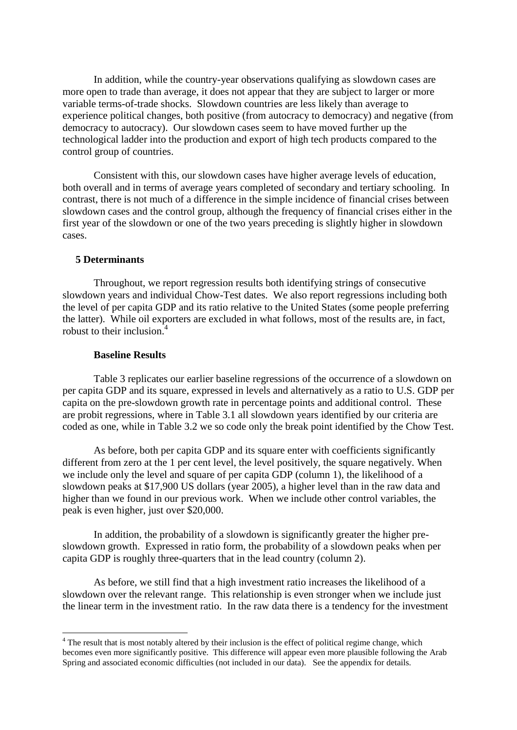In addition, while the country-year observations qualifying as slowdown cases are more open to trade than average, it does not appear that they are subject to larger or more variable terms-of-trade shocks. Slowdown countries are less likely than average to experience political changes, both positive (from autocracy to democracy) and negative (from democracy to autocracy). Our slowdown cases seem to have moved further up the technological ladder into the production and export of high tech products compared to the control group of countries.

Consistent with this, our slowdown cases have higher average levels of education, both overall and in terms of average years completed of secondary and tertiary schooling. In contrast, there is not much of a difference in the simple incidence of financial crises between slowdown cases and the control group, although the frequency of financial crises either in the first year of the slowdown or one of the two years preceding is slightly higher in slowdown cases.

### **5 Determinants**

Throughout, we report regression results both identifying strings of consecutive slowdown years and individual Chow-Test dates. We also report regressions including both the level of per capita GDP and its ratio relative to the United States (some people preferring the latter). While oil exporters are excluded in what follows, most of the results are, in fact, robust to their inclusion.<sup>4</sup>

#### **Baseline Results**

1

Table 3 replicates our earlier baseline regressions of the occurrence of a slowdown on per capita GDP and its square, expressed in levels and alternatively as a ratio to U.S. GDP per capita on the pre-slowdown growth rate in percentage points and additional control. These are probit regressions, where in Table 3.1 all slowdown years identified by our criteria are coded as one, while in Table 3.2 we so code only the break point identified by the Chow Test.

As before, both per capita GDP and its square enter with coefficients significantly different from zero at the 1 per cent level, the level positively, the square negatively. When we include only the level and square of per capita GDP (column 1), the likelihood of a slowdown peaks at \$17,900 US dollars (year 2005), a higher level than in the raw data and higher than we found in our previous work. When we include other control variables, the peak is even higher, just over \$20,000.

In addition, the probability of a slowdown is significantly greater the higher preslowdown growth. Expressed in ratio form, the probability of a slowdown peaks when per capita GDP is roughly three-quarters that in the lead country (column 2).

As before, we still find that a high investment ratio increases the likelihood of a slowdown over the relevant range. This relationship is even stronger when we include just the linear term in the investment ratio. In the raw data there is a tendency for the investment

<sup>&</sup>lt;sup>4</sup> The result that is most notably altered by their inclusion is the effect of political regime change, which becomes even more significantly positive. This difference will appear even more plausible following the Arab Spring and associated economic difficulties (not included in our data). See the appendix for details.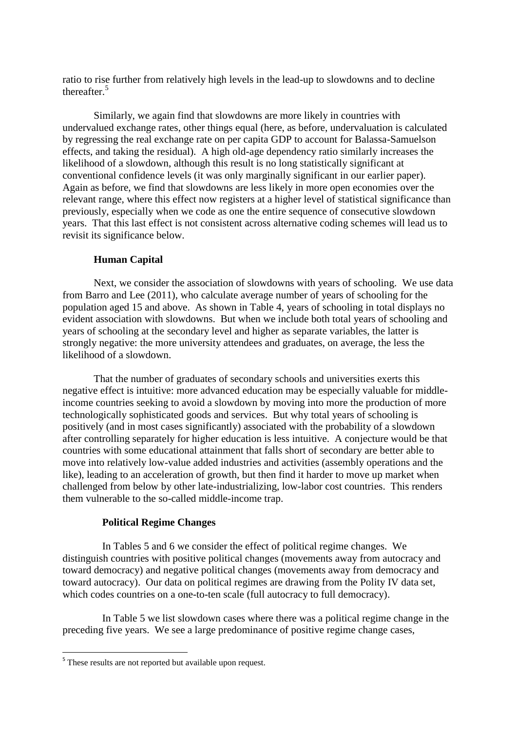ratio to rise further from relatively high levels in the lead-up to slowdowns and to decline thereafter. 5

Similarly, we again find that slowdowns are more likely in countries with undervalued exchange rates, other things equal (here, as before, undervaluation is calculated by regressing the real exchange rate on per capita GDP to account for Balassa-Samuelson effects, and taking the residual). A high old-age dependency ratio similarly increases the likelihood of a slowdown, although this result is no long statistically significant at conventional confidence levels (it was only marginally significant in our earlier paper). Again as before, we find that slowdowns are less likely in more open economies over the relevant range, where this effect now registers at a higher level of statistical significance than previously, especially when we code as one the entire sequence of consecutive slowdown years. That this last effect is not consistent across alternative coding schemes will lead us to revisit its significance below.

## **Human Capital**

Next, we consider the association of slowdowns with years of schooling. We use data from Barro and Lee (2011), who calculate average number of years of schooling for the population aged 15 and above. As shown in Table 4, years of schooling in total displays no evident association with slowdowns. But when we include both total years of schooling and years of schooling at the secondary level and higher as separate variables, the latter is strongly negative: the more university attendees and graduates, on average, the less the likelihood of a slowdown.

That the number of graduates of secondary schools and universities exerts this negative effect is intuitive: more advanced education may be especially valuable for middleincome countries seeking to avoid a slowdown by moving into more the production of more technologically sophisticated goods and services. But why total years of schooling is positively (and in most cases significantly) associated with the probability of a slowdown after controlling separately for higher education is less intuitive. A conjecture would be that countries with some educational attainment that falls short of secondary are better able to move into relatively low-value added industries and activities (assembly operations and the like), leading to an acceleration of growth, but then find it harder to move up market when challenged from below by other late-industrializing, low-labor cost countries. This renders them vulnerable to the so-called middle-income trap.

## **Political Regime Changes**

In Tables 5 and 6 we consider the effect of political regime changes. We distinguish countries with positive political changes (movements away from autocracy and toward democracy) and negative political changes (movements away from democracy and toward autocracy). Our data on political regimes are drawing from the Polity IV data set, which codes countries on a one-to-ten scale (full autocracy to full democracy).

In Table 5 we list slowdown cases where there was a political regime change in the preceding five years. We see a large predominance of positive regime change cases,

**.** 

<sup>&</sup>lt;sup>5</sup> These results are not reported but available upon request.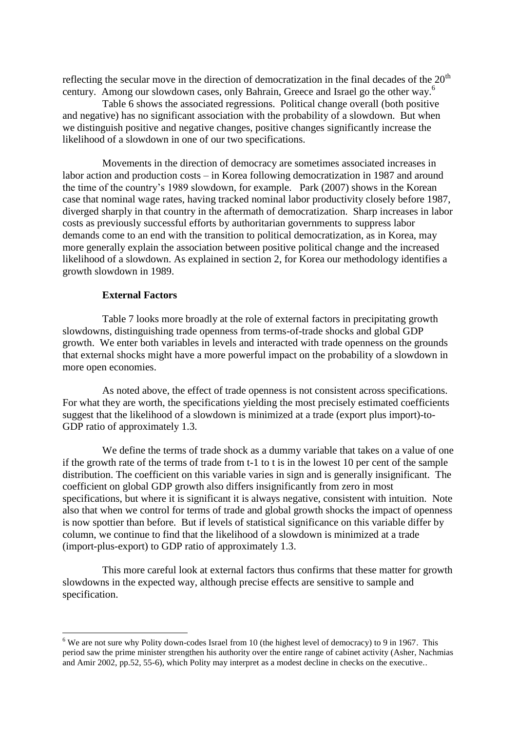reflecting the secular move in the direction of democratization in the final decades of the  $20<sup>th</sup>$ century. Among our slowdown cases, only Bahrain, Greece and Israel go the other way. 6

Table 6 shows the associated regressions. Political change overall (both positive and negative) has no significant association with the probability of a slowdown. But when we distinguish positive and negative changes, positive changes significantly increase the likelihood of a slowdown in one of our two specifications.

Movements in the direction of democracy are sometimes associated increases in labor action and production costs – in Korea following democratization in 1987 and around the time of the country's 1989 slowdown, for example. Park (2007) shows in the Korean case that nominal wage rates, having tracked nominal labor productivity closely before 1987, diverged sharply in that country in the aftermath of democratization. Sharp increases in labor costs as previously successful efforts by authoritarian governments to suppress labor demands come to an end with the transition to political democratization, as in Korea, may more generally explain the association between positive political change and the increased likelihood of a slowdown. As explained in section 2, for Korea our methodology identifies a growth slowdown in 1989.

### **External Factors**

1

Table 7 looks more broadly at the role of external factors in precipitating growth slowdowns, distinguishing trade openness from terms-of-trade shocks and global GDP growth. We enter both variables in levels and interacted with trade openness on the grounds that external shocks might have a more powerful impact on the probability of a slowdown in more open economies.

As noted above, the effect of trade openness is not consistent across specifications. For what they are worth, the specifications yielding the most precisely estimated coefficients suggest that the likelihood of a slowdown is minimized at a trade (export plus import)-to-GDP ratio of approximately 1.3.

We define the terms of trade shock as a dummy variable that takes on a value of one if the growth rate of the terms of trade from t-1 to t is in the lowest 10 per cent of the sample distribution. The coefficient on this variable varies in sign and is generally insignificant. The coefficient on global GDP growth also differs insignificantly from zero in most specifications, but where it is significant it is always negative, consistent with intuition. Note also that when we control for terms of trade and global growth shocks the impact of openness is now spottier than before. But if levels of statistical significance on this variable differ by column, we continue to find that the likelihood of a slowdown is minimized at a trade (import-plus-export) to GDP ratio of approximately 1.3.

This more careful look at external factors thus confirms that these matter for growth slowdowns in the expected way, although precise effects are sensitive to sample and specification.

 $6$  We are not sure why Polity down-codes Israel from 10 (the highest level of democracy) to 9 in 1967. This period saw the prime minister strengthen his authority over the entire range of cabinet activity (Asher, Nachmias and Amir 2002, pp.52, 55-6), which Polity may interpret as a modest decline in checks on the executive..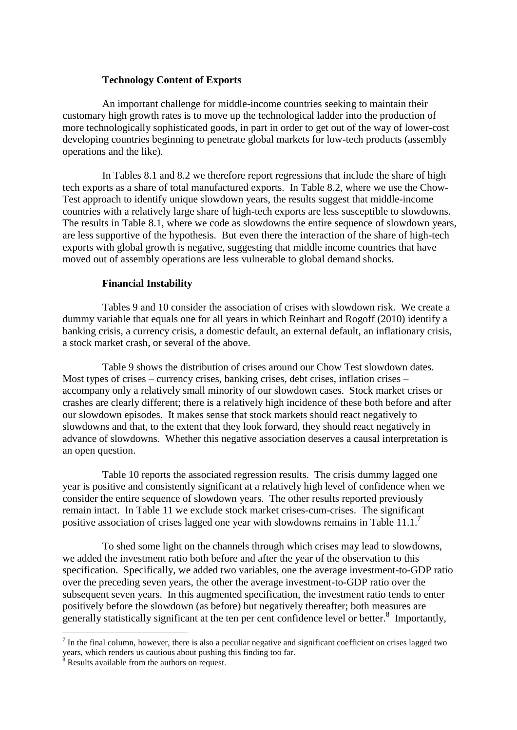## **Technology Content of Exports**

An important challenge for middle-income countries seeking to maintain their customary high growth rates is to move up the technological ladder into the production of more technologically sophisticated goods, in part in order to get out of the way of lower-cost developing countries beginning to penetrate global markets for low-tech products (assembly operations and the like).

In Tables 8.1 and 8.2 we therefore report regressions that include the share of high tech exports as a share of total manufactured exports. In Table 8.2, where we use the Chow-Test approach to identify unique slowdown years, the results suggest that middle-income countries with a relatively large share of high-tech exports are less susceptible to slowdowns. The results in Table 8.1, where we code as slowdowns the entire sequence of slowdown years, are less supportive of the hypothesis. But even there the interaction of the share of high-tech exports with global growth is negative, suggesting that middle income countries that have moved out of assembly operations are less vulnerable to global demand shocks.

## **Financial Instability**

Tables 9 and 10 consider the association of crises with slowdown risk. We create a dummy variable that equals one for all years in which Reinhart and Rogoff (2010) identify a banking crisis, a currency crisis, a domestic default, an external default, an inflationary crisis, a stock market crash, or several of the above.

Table 9 shows the distribution of crises around our Chow Test slowdown dates. Most types of crises – currency crises, banking crises, debt crises, inflation crises – accompany only a relatively small minority of our slowdown cases. Stock market crises or crashes are clearly different; there is a relatively high incidence of these both before and after our slowdown episodes. It makes sense that stock markets should react negatively to slowdowns and that, to the extent that they look forward, they should react negatively in advance of slowdowns. Whether this negative association deserves a causal interpretation is an open question.

Table 10 reports the associated regression results. The crisis dummy lagged one year is positive and consistently significant at a relatively high level of confidence when we consider the entire sequence of slowdown years. The other results reported previously remain intact. In Table 11 we exclude stock market crises-cum-crises. The significant positive association of crises lagged one year with slowdowns remains in Table  $11.1$ <sup>7</sup>

To shed some light on the channels through which crises may lead to slowdowns, we added the investment ratio both before and after the year of the observation to this specification. Specifically, we added two variables, one the average investment-to-GDP ratio over the preceding seven years, the other the average investment-to-GDP ratio over the subsequent seven years. In this augmented specification, the investment ratio tends to enter positively before the slowdown (as before) but negatively thereafter; both measures are generally statistically significant at the ten per cent confidence level or better.<sup>8</sup> Importantly,

1

 $<sup>7</sup>$  In the final column, however, there is also a peculiar negative and significant coefficient on crises lagged two</sup> years, which renders us cautious about pushing this finding too far.

 $8$  Results available from the authors on request.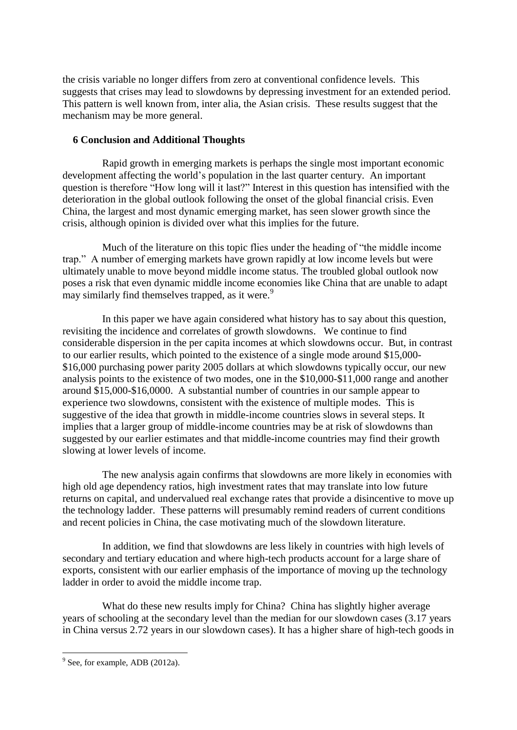the crisis variable no longer differs from zero at conventional confidence levels. This suggests that crises may lead to slowdowns by depressing investment for an extended period. This pattern is well known from, inter alia, the Asian crisis. These results suggest that the mechanism may be more general.

# **6 Conclusion and Additional Thoughts**

Rapid growth in emerging markets is perhaps the single most important economic development affecting the world's population in the last quarter century. An important question is therefore "How long will it last?" Interest in this question has intensified with the deterioration in the global outlook following the onset of the global financial crisis. Even China, the largest and most dynamic emerging market, has seen slower growth since the crisis, although opinion is divided over what this implies for the future.

Much of the literature on this topic flies under the heading of "the middle income trap." A number of emerging markets have grown rapidly at low income levels but were ultimately unable to move beyond middle income status. The troubled global outlook now poses a risk that even dynamic middle income economies like China that are unable to adapt may similarly find themselves trapped, as it were.<sup>9</sup>

In this paper we have again considered what history has to say about this question, revisiting the incidence and correlates of growth slowdowns. We continue to find considerable dispersion in the per capita incomes at which slowdowns occur. But, in contrast to our earlier results, which pointed to the existence of a single mode around \$15,000- \$16,000 purchasing power parity 2005 dollars at which slowdowns typically occur, our new analysis points to the existence of two modes, one in the \$10,000-\$11,000 range and another around \$15,000-\$16,0000. A substantial number of countries in our sample appear to experience two slowdowns, consistent with the existence of multiple modes. This is suggestive of the idea that growth in middle-income countries slows in several steps. It implies that a larger group of middle-income countries may be at risk of slowdowns than suggested by our earlier estimates and that middle-income countries may find their growth slowing at lower levels of income.

The new analysis again confirms that slowdowns are more likely in economies with high old age dependency ratios, high investment rates that may translate into low future returns on capital, and undervalued real exchange rates that provide a disincentive to move up the technology ladder. These patterns will presumably remind readers of current conditions and recent policies in China, the case motivating much of the slowdown literature.

In addition, we find that slowdowns are less likely in countries with high levels of secondary and tertiary education and where high-tech products account for a large share of exports, consistent with our earlier emphasis of the importance of moving up the technology ladder in order to avoid the middle income trap.

What do these new results imply for China? China has slightly higher average years of schooling at the secondary level than the median for our slowdown cases (3.17 years in China versus 2.72 years in our slowdown cases). It has a higher share of high-tech goods in

<sup>&</sup>lt;sup>9</sup> See, for example, ADB (2012a).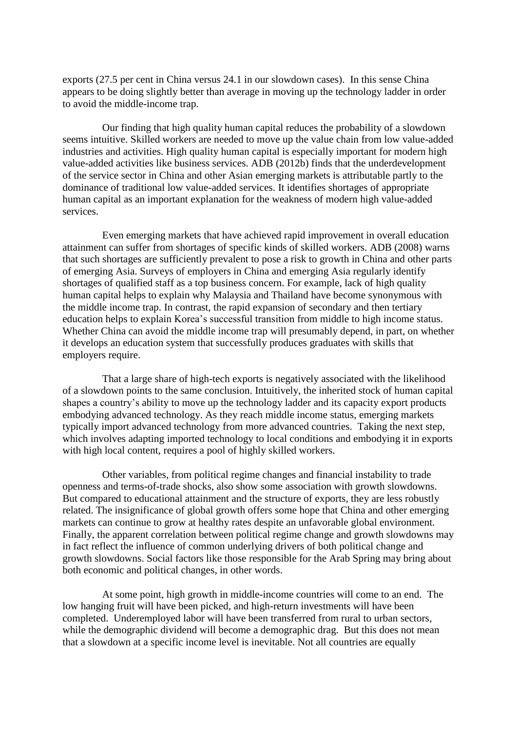exports (27.5 per cent in China versus 24.1 in our slowdown cases). In this sense China appears to be doing slightly better than average in moving up the technology ladder in order to avoid the middle-income trap.

Our finding that high quality human capital reduces the probability of a slowdown seems intuitive. Skilled workers are needed to move up the value chain from low value-added industries and activities. High quality human capital is especially important for modern high value-added activities like business services. ADB (2012b) finds that the underdevelopment of the service sector in China and other Asian emerging markets is attributable partly to the dominance of traditional low value-added services. It identifies shortages of appropriate human capital as an important explanation for the weakness of modern high value-added services.

Even emerging markets that have achieved rapid improvement in overall education attainment can suffer from shortages of specific kinds of skilled workers. ADB (2008) warns that such shortages are sufficiently prevalent to pose a risk to growth in China and other parts of emerging Asia. Surveys of employers in China and emerging Asia regularly identify shortages of qualified staff as a top business concern. For example, lack of high quality human capital helps to explain why Malaysia and Thailand have become synonymous with the middle income trap. In contrast, the rapid expansion of secondary and then tertiary education helps to explain Korea's successful transition from middle to high income status. Whether China can avoid the middle income trap will presumably depend, in part, on whether it develops an education system that successfully produces graduates with skills that employers require.

That a large share of high-tech exports is negatively associated with the likelihood of a slowdown points to the same conclusion. Intuitively, the inherited stock of human capital shapes a country's ability to move up the technology ladder and its capacity export products embodying advanced technology. As they reach middle income status, emerging markets typically import advanced technology from more advanced countries. Taking the next step, which involves adapting imported technology to local conditions and embodying it in exports with high local content, requires a pool of highly skilled workers.

Other variables, from political regime changes and financial instability to trade openness and terms-of-trade shocks, also show some association with growth slowdowns. But compared to educational attainment and the structure of exports, they are less robustly related. The insignificance of global growth offers some hope that China and other emerging markets can continue to grow at healthy rates despite an unfavorable global environment. Finally, the apparent correlation between political regime change and growth slowdowns may in fact reflect the influence of common underlying drivers of both political change and growth slowdowns. Social factors like those responsible for the Arab Spring may bring about both economic and political changes, in other words.

At some point, high growth in middle-income countries will come to an end. The low hanging fruit will have been picked, and high-return investments will have been completed. Underemployed labor will have been transferred from rural to urban sectors, while the demographic dividend will become a demographic drag. But this does not mean that a slowdown at a specific income level is inevitable. Not all countries are equally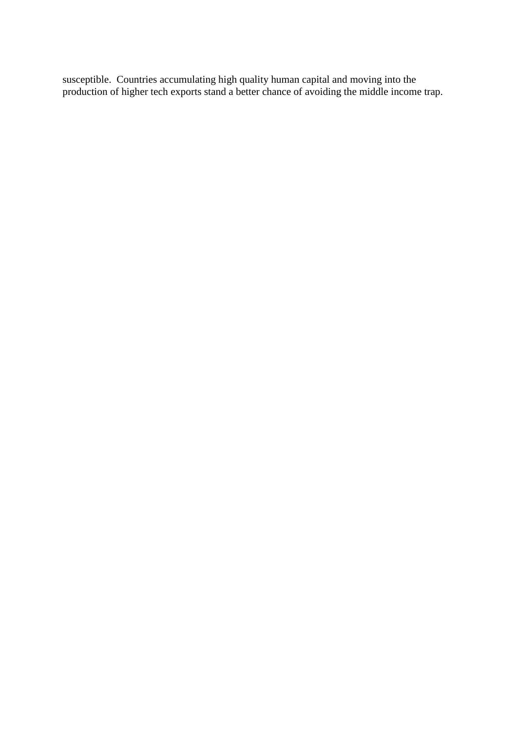susceptible. Countries accumulating high quality human capital and moving into the production of higher tech exports stand a better chance of avoiding the middle income trap.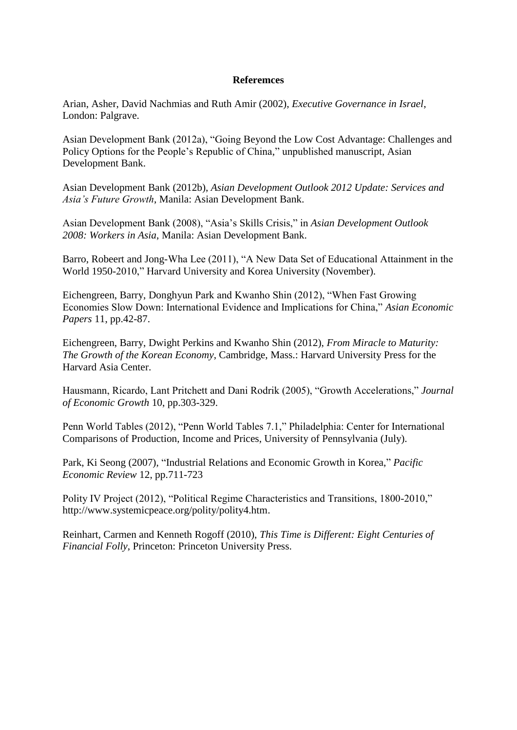## **Referemces**

Arian, Asher, David Nachmias and Ruth Amir (2002), *Executive Governance in Israel*, London: Palgrave.

Asian Development Bank (2012a), "Going Beyond the Low Cost Advantage: Challenges and Policy Options for the People's Republic of China," unpublished manuscript, Asian Development Bank.

Asian Development Bank (2012b), *Asian Development Outlook 2012 Update: Services and Asia's Future Growth*, Manila: Asian Development Bank.

Asian Development Bank (2008), "Asia's Skills Crisis," in *Asian Development Outlook 2008: Workers in Asia*, Manila: Asian Development Bank.

Barro, Robeert and Jong-Wha Lee (2011), "A New Data Set of Educational Attainment in the World 1950-2010," Harvard University and Korea University (November).

Eichengreen, Barry, Donghyun Park and Kwanho Shin (2012), "When Fast Growing Economies Slow Down: International Evidence and Implications for China," *Asian Economic Papers* 11, pp.42-87.

Eichengreen, Barry, Dwight Perkins and Kwanho Shin (2012), *From Miracle to Maturity: The Growth of the Korean Economy*, Cambridge, Mass.: Harvard University Press for the Harvard Asia Center.

Hausmann, Ricardo, Lant Pritchett and Dani Rodrik (2005), "Growth Accelerations," *Journal of Economic Growth* 10, pp.303-329.

Penn World Tables (2012), "Penn World Tables 7.1," Philadelphia: Center for International Comparisons of Production, Income and Prices, University of Pennsylvania (July).

Park, Ki Seong (2007), "Industrial Relations and Economic Growth in Korea," *Pacific Economic Review* 12, pp.711-723

Polity IV Project (2012), "Political Regime Characteristics and Transitions, 1800-2010," http://www.systemicpeace.org/polity/polity4.htm.

Reinhart, Carmen and Kenneth Rogoff (2010), *This Time is Different: Eight Centuries of Financial Folly*, Princeton: Princeton University Press.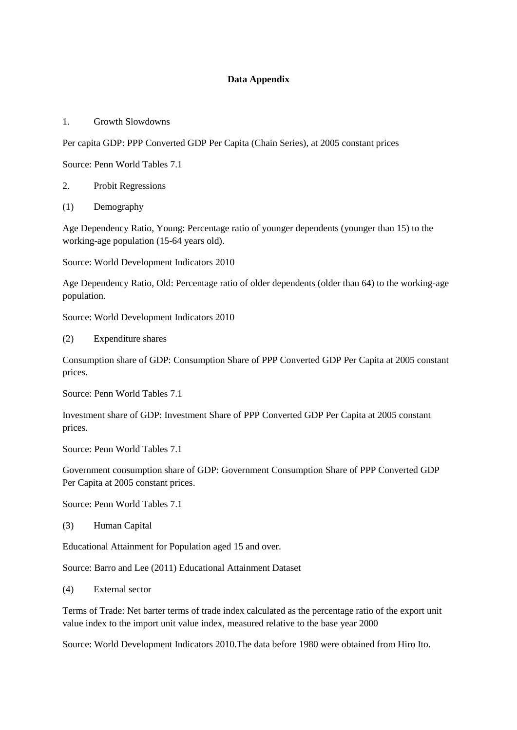## **Data Appendix**

1. Growth Slowdowns

Per capita GDP: PPP Converted GDP Per Capita (Chain Series), at 2005 constant prices

Source: Penn World Tables 7.1

- 2. Probit Regressions
- (1) Demography

Age Dependency Ratio, Young: Percentage ratio of younger dependents (younger than 15) to the working-age population (15-64 years old).

Source: World Development Indicators 2010

Age Dependency Ratio, Old: Percentage ratio of older dependents (older than 64) to the working-age population.

Source: World Development Indicators 2010

(2) Expenditure shares

Consumption share of GDP: Consumption Share of PPP Converted GDP Per Capita at 2005 constant prices.

Source: Penn World Tables 7.1

Investment share of GDP: Investment Share of PPP Converted GDP Per Capita at 2005 constant prices.

Source: Penn World Tables 7.1

Government consumption share of GDP: Government Consumption Share of PPP Converted GDP Per Capita at 2005 constant prices.

Source: Penn World Tables 7.1

(3) Human Capital

Educational Attainment for Population aged 15 and over.

Source: Barro and Lee (2011) Educational Attainment Dataset

(4) External sector

Terms of Trade: Net barter terms of trade index calculated as the percentage ratio of the export unit value index to the import unit value index, measured relative to the base year 2000

Source: World Development Indicators 2010.The data before 1980 were obtained from Hiro Ito.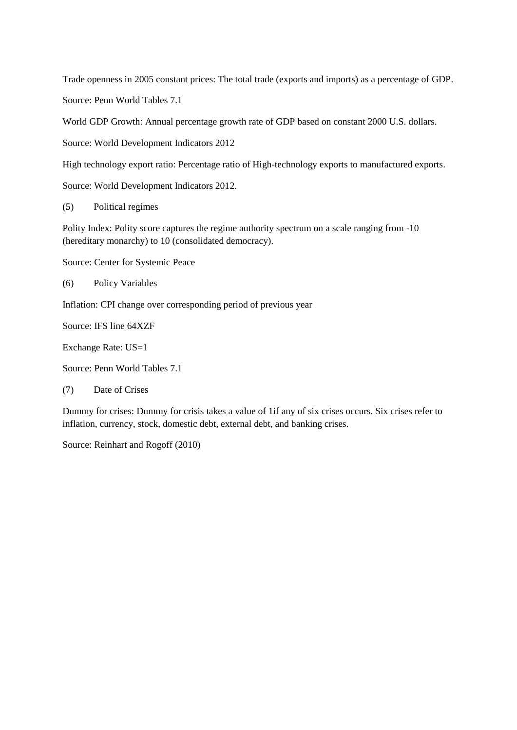Trade openness in 2005 constant prices: The total trade (exports and imports) as a percentage of GDP.

Source: Penn World Tables 7.1

World GDP Growth: Annual percentage growth rate of GDP based on constant 2000 U.S. dollars.

Source: World Development Indicators 2012

High technology export ratio: Percentage ratio of High-technology exports to manufactured exports.

Source: World Development Indicators 2012.

(5) Political regimes

Polity Index: Polity score captures the regime authority spectrum on a scale ranging from -10 (hereditary monarchy) to 10 (consolidated democracy).

Source: Center for Systemic Peace

(6) Policy Variables

Inflation: CPI change over corresponding period of previous year

Source: IFS line 64XZF

Exchange Rate: US=1

Source: Penn World Tables 7.1

(7) Date of Crises

Dummy for crises: Dummy for crisis takes a value of 1if any of six crises occurs. Six crises refer to inflation, currency, stock, domestic debt, external debt, and banking crises.

Source: Reinhart and Rogoff (2010)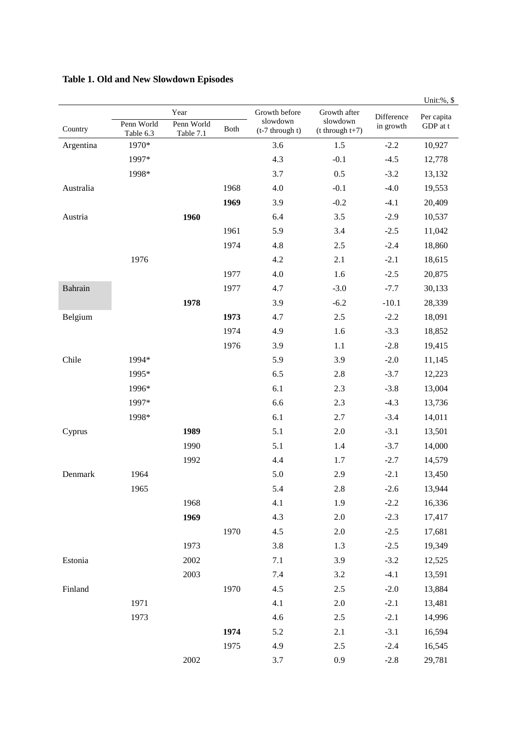|           |                         |                                 |      |                                                |                                                 |                         | Unit:%, \$             |
|-----------|-------------------------|---------------------------------|------|------------------------------------------------|-------------------------------------------------|-------------------------|------------------------|
| Country   | Penn World<br>Table 6.3 | Year<br>Penn World<br>Table 7.1 | Both | Growth before<br>slowdown<br>$(t-7$ through t) | Growth after<br>slowdown<br>$(t$ through $t+7)$ | Difference<br>in growth | Per capita<br>GDP at t |
| Argentina | 1970*                   |                                 |      | 3.6                                            | 1.5                                             | $-2.2$                  | 10,927                 |
|           | 1997*                   |                                 |      | 4.3                                            | $-0.1$                                          | $-4.5$                  | 12,778                 |
|           | 1998*                   |                                 |      | 3.7                                            | 0.5                                             | $-3.2$                  | 13,132                 |
| Australia |                         |                                 | 1968 | 4.0                                            | $-0.1$                                          | $-4.0$                  | 19,553                 |
|           |                         |                                 | 1969 | 3.9                                            | $-0.2$                                          | $-4.1$                  | 20,409                 |
| Austria   |                         | 1960                            |      | 6.4                                            | 3.5                                             | $-2.9$                  | 10,537                 |
|           |                         |                                 | 1961 | 5.9                                            | 3.4                                             | $-2.5$                  | 11,042                 |
|           |                         |                                 | 1974 | 4.8                                            | 2.5                                             | $-2.4$                  | 18,860                 |
|           | 1976                    |                                 |      | 4.2                                            | 2.1                                             | $-2.1$                  | 18,615                 |
|           |                         |                                 | 1977 | 4.0                                            | 1.6                                             | $-2.5$                  | 20,875                 |
| Bahrain   |                         |                                 | 1977 | 4.7                                            | $-3.0$                                          | $-7.7$                  | 30,133                 |
|           |                         | 1978                            |      | 3.9                                            | $-6.2$                                          | $-10.1$                 | 28,339                 |
| Belgium   |                         |                                 | 1973 | 4.7                                            | 2.5                                             | $-2.2$                  | 18,091                 |
|           |                         |                                 | 1974 | 4.9                                            | 1.6                                             | $-3.3$                  | 18,852                 |
|           |                         |                                 | 1976 | 3.9                                            | 1.1                                             | $-2.8$                  | 19,415                 |
| Chile     | 1994*                   |                                 |      | 5.9                                            | 3.9                                             | $-2.0$                  | 11,145                 |
|           | 1995*                   |                                 |      | 6.5                                            | 2.8                                             | $-3.7$                  | 12,223                 |
|           | 1996*                   |                                 |      | 6.1                                            | 2.3                                             | $-3.8$                  | 13,004                 |
|           | 1997*                   |                                 |      | 6.6                                            | 2.3                                             | $-4.3$                  | 13,736                 |
|           | 1998*                   |                                 |      | 6.1                                            | 2.7                                             | $-3.4$                  | 14,011                 |
| Cyprus    |                         | 1989                            |      | 5.1                                            | 2.0                                             | $-3.1$                  | 13,501                 |
|           |                         | 1990                            |      | 5.1                                            | 1.4                                             | $-3.7$                  | 14,000                 |
|           |                         | 1992                            |      | 4.4                                            | 1.7                                             | $-2.7$                  | 14,579                 |
| Denmark   | 1964                    |                                 |      | 5.0                                            | 2.9                                             | $-2.1$                  | 13,450                 |
|           | 1965                    |                                 |      | 5.4                                            | 2.8                                             | $-2.6$                  | 13,944                 |
|           |                         | 1968                            |      | 4.1                                            | 1.9                                             | $-2.2$                  | 16,336                 |
|           |                         | 1969                            |      | 4.3                                            | $2.0\,$                                         | $-2.3$                  | 17,417                 |
|           |                         |                                 | 1970 | 4.5                                            | $2.0\,$                                         | $-2.5$                  | 17,681                 |
|           |                         | 1973                            |      | 3.8                                            | 1.3                                             | $-2.5$                  | 19,349                 |
| Estonia   |                         | 2002                            |      | 7.1                                            | 3.9                                             | $-3.2$                  | 12,525                 |
|           |                         | 2003                            |      | $7.4\,$                                        | $3.2\,$                                         | $-4.1$                  | 13,591                 |
| Finland   |                         |                                 | 1970 | 4.5                                            | $2.5\,$                                         | $-2.0$                  | 13,884                 |
|           | 1971                    |                                 |      | 4.1                                            | $2.0\,$                                         | $-2.1$                  | 13,481                 |
|           | 1973                    |                                 |      | 4.6                                            | $2.5\,$                                         | $-2.1$                  | 14,996                 |
|           |                         |                                 | 1974 | 5.2                                            | $2.1\,$                                         | $-3.1$                  | 16,594                 |
|           |                         |                                 | 1975 | 4.9                                            | $2.5\,$                                         | $-2.4$                  | 16,545                 |
|           |                         | 2002                            |      | 3.7                                            | 0.9                                             | $-2.8$                  | 29,781                 |

# **Table 1. Old and New Slowdown Episodes**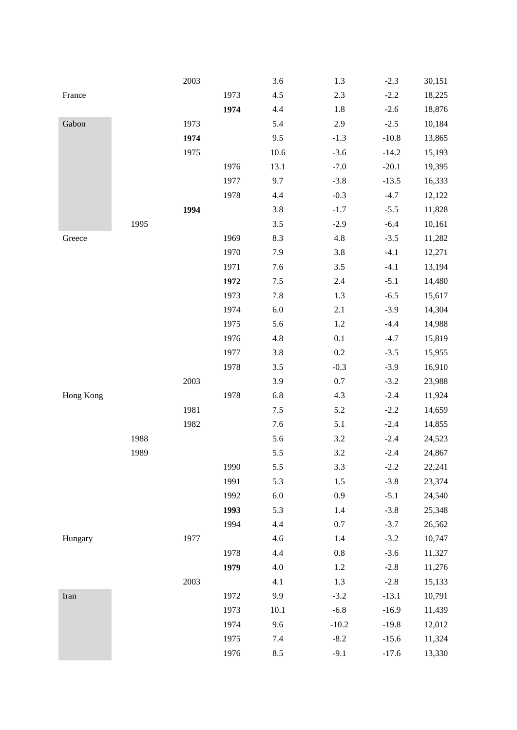|           |      | 2003 |      | 3.6     | 1.3     | $-2.3$  | 30,151 |
|-----------|------|------|------|---------|---------|---------|--------|
| France    |      |      | 1973 | 4.5     | 2.3     | $-2.2$  | 18,225 |
|           |      |      | 1974 | 4.4     | 1.8     | $-2.6$  | 18,876 |
| Gabon     |      | 1973 |      | 5.4     | 2.9     | $-2.5$  | 10,184 |
|           |      | 1974 |      | 9.5     | $-1.3$  | $-10.8$ | 13,865 |
|           |      | 1975 |      | 10.6    | $-3.6$  | $-14.2$ | 15,193 |
|           |      |      | 1976 | 13.1    | $-7.0$  | $-20.1$ | 19,395 |
|           |      |      | 1977 | 9.7     | $-3.8$  | $-13.5$ | 16,333 |
|           |      |      | 1978 | 4.4     | $-0.3$  | $-4.7$  | 12,122 |
|           |      | 1994 |      | 3.8     | $-1.7$  | $-5.5$  | 11,828 |
|           | 1995 |      |      | 3.5     | $-2.9$  | $-6.4$  | 10,161 |
| Greece    |      |      | 1969 | 8.3     | 4.8     | $-3.5$  | 11,282 |
|           |      |      | 1970 | 7.9     | 3.8     | $-4.1$  | 12,271 |
|           |      |      | 1971 | 7.6     | $3.5$   | $-4.1$  | 13,194 |
|           |      |      | 1972 | $7.5$   | 2.4     | $-5.1$  | 14,480 |
|           |      |      | 1973 | 7.8     | 1.3     | $-6.5$  | 15,617 |
|           |      |      | 1974 | $6.0\,$ | 2.1     | $-3.9$  | 14,304 |
|           |      |      | 1975 | 5.6     | 1.2     | $-4.4$  | 14,988 |
|           |      |      | 1976 | $4.8\,$ | $0.1\,$ | $-4.7$  | 15,819 |
|           |      |      | 1977 | 3.8     | $0.2\,$ | $-3.5$  | 15,955 |
|           |      |      | 1978 | 3.5     | $-0.3$  | $-3.9$  | 16,910 |
|           |      | 2003 |      | 3.9     | 0.7     | $-3.2$  | 23,988 |
| Hong Kong |      |      | 1978 | 6.8     | 4.3     | $-2.4$  | 11,924 |
|           |      | 1981 |      | $7.5$   | 5.2     | $-2.2$  | 14,659 |
|           |      | 1982 |      | 7.6     | 5.1     | $-2.4$  | 14,855 |
|           | 1988 |      |      | 5.6     | $3.2\,$ | $-2.4$  | 24,523 |
|           | 1989 |      |      | 5.5     | 3.2     | $-2.4$  | 24,867 |
|           |      |      | 1990 | 5.5     | 3.3     | $-2.2$  | 22,241 |
|           |      |      | 1991 | 5.3     | 1.5     | $-3.8$  | 23,374 |
|           |      |      | 1992 | $6.0\,$ | 0.9     | $-5.1$  | 24,540 |
|           |      |      | 1993 | 5.3     | 1.4     | $-3.8$  | 25,348 |
|           |      |      | 1994 | 4.4     | $0.7\,$ | $-3.7$  | 26,562 |
| Hungary   |      | 1977 |      | 4.6     | 1.4     | $-3.2$  | 10,747 |
|           |      |      | 1978 | 4.4     | $0.8\,$ | $-3.6$  | 11,327 |
|           |      |      | 1979 | $4.0\,$ | 1.2     | $-2.8$  | 11,276 |
|           |      | 2003 |      | 4.1     | 1.3     | $-2.8$  | 15,133 |
| Iran      |      |      | 1972 | 9.9     | $-3.2$  | $-13.1$ | 10,791 |
|           |      |      | 1973 | 10.1    | $-6.8$  | $-16.9$ | 11,439 |
|           |      |      | 1974 | 9.6     | $-10.2$ | $-19.8$ | 12,012 |
|           |      |      | 1975 | $7.4\,$ | $-8.2$  | $-15.6$ | 11,324 |
|           |      |      | 1976 | 8.5     | $-9.1$  | $-17.6$ | 13,330 |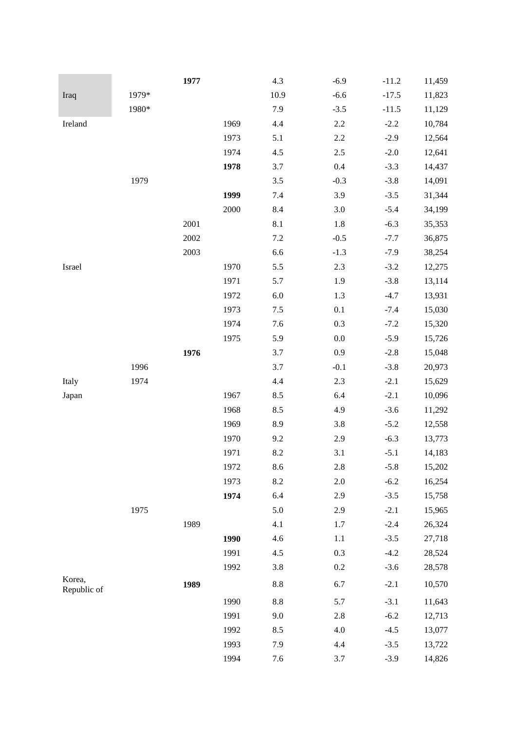|                       |       | 1977 |      | 4.3     | $-6.9$  | $-11.2$ | 11,459 |
|-----------------------|-------|------|------|---------|---------|---------|--------|
| Iraq                  | 1979* |      |      | 10.9    | $-6.6$  | $-17.5$ | 11,823 |
|                       | 1980* |      |      | 7.9     | $-3.5$  | $-11.5$ | 11,129 |
| Ireland               |       |      | 1969 | 4.4     | 2.2     | $-2.2$  | 10,784 |
|                       |       |      | 1973 | 5.1     | 2.2     | $-2.9$  | 12,564 |
|                       |       |      | 1974 | 4.5     | $2.5\,$ | $-2.0$  | 12,641 |
|                       |       |      | 1978 | 3.7     | 0.4     | $-3.3$  | 14,437 |
|                       | 1979  |      |      | 3.5     | $-0.3$  | $-3.8$  | 14,091 |
|                       |       |      | 1999 | 7.4     | 3.9     | $-3.5$  | 31,344 |
|                       |       |      | 2000 | 8.4     | 3.0     | $-5.4$  | 34,199 |
|                       |       | 2001 |      | $8.1\,$ | $1.8\,$ | $-6.3$  | 35,353 |
|                       |       | 2002 |      | $7.2\,$ | $-0.5$  | $-7.7$  | 36,875 |
|                       |       | 2003 |      | 6.6     | $-1.3$  | $-7.9$  | 38,254 |
| Israel                |       |      | 1970 | 5.5     | 2.3     | $-3.2$  | 12,275 |
|                       |       |      | 1971 | 5.7     | 1.9     | $-3.8$  | 13,114 |
|                       |       |      | 1972 | $6.0\,$ | 1.3     | $-4.7$  | 13,931 |
|                       |       |      | 1973 | $7.5$   | $0.1\,$ | $-7.4$  | 15,030 |
|                       |       |      | 1974 | 7.6     | 0.3     | $-7.2$  | 15,320 |
|                       |       |      | 1975 | 5.9     | 0.0     | $-5.9$  | 15,726 |
|                       |       | 1976 |      | 3.7     | 0.9     | $-2.8$  | 15,048 |
|                       | 1996  |      |      | 3.7     | $-0.1$  | $-3.8$  | 20,973 |
| Italy                 | 1974  |      |      | 4.4     | 2.3     | $-2.1$  | 15,629 |
| Japan                 |       |      | 1967 | 8.5     | 6.4     | $-2.1$  | 10,096 |
|                       |       |      | 1968 | 8.5     | 4.9     | $-3.6$  | 11,292 |
|                       |       |      | 1969 | 8.9     | 3.8     | $-5.2$  | 12,558 |
|                       |       |      | 1970 | 9.2     | 2.9     | $-6.3$  | 13,773 |
|                       |       |      | 1971 | $8.2\,$ | 3.1     | $-5.1$  | 14,183 |
|                       |       |      | 1972 | 8.6     | 2.8     | $-5.8$  | 15,202 |
|                       |       |      | 1973 | 8.2     | $2.0\,$ | $-6.2$  | 16,254 |
|                       |       |      | 1974 | 6.4     | 2.9     | $-3.5$  | 15,758 |
|                       | 1975  |      |      | 5.0     | 2.9     | $-2.1$  | 15,965 |
|                       |       | 1989 |      | 4.1     | 1.7     | $-2.4$  | 26,324 |
|                       |       |      | 1990 | 4.6     | 1.1     | $-3.5$  | 27,718 |
|                       |       |      | 1991 | 4.5     | 0.3     | $-4.2$  | 28,524 |
|                       |       |      | 1992 | 3.8     | 0.2     | $-3.6$  | 28,578 |
| Korea,<br>Republic of |       | 1989 |      | $8.8\,$ | 6.7     | $-2.1$  | 10,570 |
|                       |       |      | 1990 | $8.8\,$ | 5.7     | $-3.1$  | 11,643 |
|                       |       |      | 1991 | 9.0     | $2.8\,$ | $-6.2$  | 12,713 |
|                       |       |      | 1992 | 8.5     | 4.0     | $-4.5$  | 13,077 |
|                       |       |      | 1993 | 7.9     | 4.4     | $-3.5$  | 13,722 |
|                       |       |      | 1994 | 7.6     | 3.7     | $-3.9$  | 14,826 |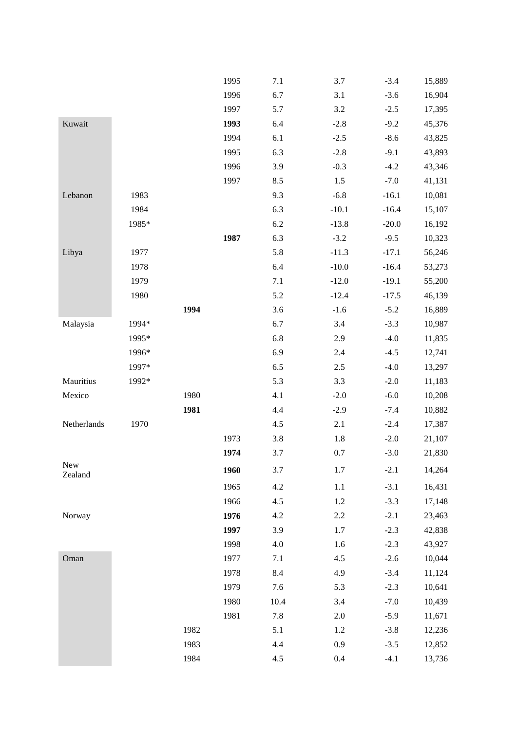|                |       |      | 1995 | 7.1     | 3.7     | $-3.4$  | 15,889 |
|----------------|-------|------|------|---------|---------|---------|--------|
|                |       |      | 1996 | 6.7     | 3.1     | $-3.6$  | 16,904 |
|                |       |      | 1997 | 5.7     | 3.2     | $-2.5$  | 17,395 |
| Kuwait         |       |      | 1993 | 6.4     | $-2.8$  | $-9.2$  | 45,376 |
|                |       |      | 1994 | 6.1     | $-2.5$  | $-8.6$  | 43,825 |
|                |       |      | 1995 | 6.3     | $-2.8$  | $-9.1$  | 43,893 |
|                |       |      | 1996 | 3.9     | $-0.3$  | $-4.2$  | 43,346 |
|                |       |      | 1997 | 8.5     | 1.5     | $-7.0$  | 41,131 |
| Lebanon        | 1983  |      |      | 9.3     | $-6.8$  | $-16.1$ | 10,081 |
|                | 1984  |      |      | 6.3     | $-10.1$ | $-16.4$ | 15,107 |
|                | 1985* |      |      | $6.2\,$ | $-13.8$ | $-20.0$ | 16,192 |
|                |       |      | 1987 | 6.3     | $-3.2$  | $-9.5$  | 10,323 |
| Libya          | 1977  |      |      | 5.8     | $-11.3$ | $-17.1$ | 56,246 |
|                | 1978  |      |      | 6.4     | $-10.0$ | $-16.4$ | 53,273 |
|                | 1979  |      |      | 7.1     | $-12.0$ | $-19.1$ | 55,200 |
|                | 1980  |      |      | 5.2     | $-12.4$ | $-17.5$ | 46,139 |
|                |       | 1994 |      | 3.6     | $-1.6$  | $-5.2$  | 16,889 |
| Malaysia       | 1994* |      |      | 6.7     | 3.4     | $-3.3$  | 10,987 |
|                | 1995* |      |      | 6.8     | 2.9     | $-4.0$  | 11,835 |
|                | 1996* |      |      | 6.9     | 2.4     | $-4.5$  | 12,741 |
|                | 1997* |      |      | 6.5     | $2.5$   | $-4.0$  | 13,297 |
| Mauritius      | 1992* |      |      | 5.3     | 3.3     | $-2.0$  | 11,183 |
| Mexico         |       | 1980 |      | 4.1     | $-2.0$  | $-6.0$  | 10,208 |
|                |       | 1981 |      | 4.4     | $-2.9$  | $-7.4$  | 10,882 |
| Netherlands    | 1970  |      |      | 4.5     | 2.1     | $-2.4$  | 17,387 |
|                |       |      | 1973 | 3.8     | $1.8\,$ | $-2.0$  | 21,107 |
|                |       |      | 1974 | 3.7     | $0.7\,$ | $-3.0$  | 21,830 |
| New<br>Zealand |       |      | 1960 | 3.7     | 1.7     | $-2.1$  | 14,264 |
|                |       |      | 1965 | 4.2     | 1.1     | $-3.1$  | 16,431 |
|                |       |      | 1966 | 4.5     | 1.2     | $-3.3$  | 17,148 |
| Norway         |       |      | 1976 | 4.2     | 2.2     | $-2.1$  | 23,463 |
|                |       |      | 1997 | 3.9     | 1.7     | $-2.3$  | 42,838 |
|                |       |      | 1998 | 4.0     | 1.6     | $-2.3$  | 43,927 |
| Oman           |       |      | 1977 | 7.1     | 4.5     | $-2.6$  | 10,044 |
|                |       |      | 1978 | 8.4     | 4.9     | $-3.4$  | 11,124 |
|                |       |      | 1979 | 7.6     | 5.3     | $-2.3$  | 10,641 |
|                |       |      | 1980 | 10.4    | 3.4     | $-7.0$  | 10,439 |
|                |       |      | 1981 | 7.8     | 2.0     | $-5.9$  | 11,671 |
|                |       | 1982 |      | 5.1     | 1.2     | $-3.8$  | 12,236 |
|                |       | 1983 |      | 4.4     | 0.9     | $-3.5$  | 12,852 |
|                |       | 1984 |      | 4.5     | 0.4     | $-4.1$  | 13,736 |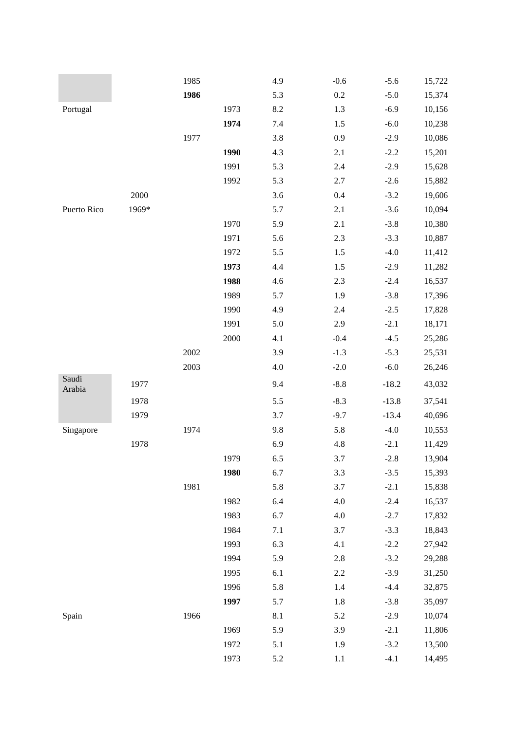|                 |          | 1985 |      | 4.9     | $-0.6$  | $-5.6$  | 15,722 |
|-----------------|----------|------|------|---------|---------|---------|--------|
|                 |          | 1986 |      | 5.3     | $0.2\,$ | $-5.0$  | 15,374 |
| Portugal        |          |      | 1973 | 8.2     | 1.3     | $-6.9$  | 10,156 |
|                 |          |      | 1974 | 7.4     | $1.5$   | $-6.0$  | 10,238 |
|                 |          | 1977 |      | 3.8     | 0.9     | $-2.9$  | 10,086 |
|                 |          |      | 1990 | 4.3     | 2.1     | $-2.2$  | 15,201 |
|                 |          |      | 1991 | 5.3     | 2.4     | $-2.9$  | 15,628 |
|                 |          |      | 1992 | 5.3     | 2.7     | $-2.6$  | 15,882 |
|                 | $2000\,$ |      |      | 3.6     | 0.4     | $-3.2$  | 19,606 |
| Puerto Rico     | 1969*    |      |      | 5.7     | 2.1     | $-3.6$  | 10,094 |
|                 |          |      | 1970 | 5.9     | 2.1     | $-3.8$  | 10,380 |
|                 |          |      | 1971 | 5.6     | 2.3     | $-3.3$  | 10,887 |
|                 |          |      | 1972 | 5.5     | 1.5     | $-4.0$  | 11,412 |
|                 |          |      | 1973 | 4.4     | 1.5     | $-2.9$  | 11,282 |
|                 |          |      | 1988 | 4.6     | 2.3     | $-2.4$  | 16,537 |
|                 |          |      | 1989 | 5.7     | 1.9     | $-3.8$  | 17,396 |
|                 |          |      | 1990 | 4.9     | 2.4     | $-2.5$  | 17,828 |
|                 |          |      | 1991 | 5.0     | 2.9     | $-2.1$  | 18,171 |
|                 |          |      | 2000 | 4.1     | $-0.4$  | $-4.5$  | 25,286 |
|                 |          | 2002 |      | 3.9     | $-1.3$  | $-5.3$  | 25,531 |
|                 |          | 2003 |      | $4.0\,$ | $-2.0$  | $-6.0$  | 26,246 |
| Saudi<br>Arabia | 1977     |      |      | 9.4     | $-8.8$  | $-18.2$ | 43,032 |
|                 | 1978     |      |      | 5.5     | $-8.3$  | $-13.8$ | 37,541 |
|                 | 1979     |      |      | 3.7     | $-9.7$  | $-13.4$ | 40,696 |
| Singapore       |          | 1974 |      | 9.8     | 5.8     | $-4.0$  | 10,553 |
|                 | 1978     |      |      | 6.9     | 4.8     | $-2.1$  | 11,429 |
|                 |          |      | 1979 | 6.5     | 3.7     | $-2.8$  | 13,904 |
|                 |          |      | 1980 | 6.7     | 3.3     | $-3.5$  | 15,393 |
|                 |          | 1981 |      | 5.8     | 3.7     | $-2.1$  | 15,838 |
|                 |          |      | 1982 | 6.4     | $4.0\,$ | $-2.4$  | 16,537 |
|                 |          |      | 1983 | 6.7     | $4.0\,$ | $-2.7$  | 17,832 |
|                 |          |      | 1984 | 7.1     | 3.7     | $-3.3$  | 18,843 |
|                 |          |      | 1993 | 6.3     | 4.1     | $-2.2$  | 27,942 |
|                 |          |      | 1994 | 5.9     | $2.8\,$ | $-3.2$  | 29,288 |
|                 |          |      | 1995 | 6.1     | $2.2\,$ | $-3.9$  | 31,250 |
|                 |          |      | 1996 | 5.8     | 1.4     | $-4.4$  | 32,875 |
|                 |          |      | 1997 | 5.7     | $1.8\,$ | $-3.8$  | 35,097 |
| Spain           |          | 1966 |      | 8.1     | 5.2     | $-2.9$  | 10,074 |
|                 |          |      | 1969 | 5.9     | 3.9     | $-2.1$  | 11,806 |
|                 |          |      | 1972 | 5.1     | 1.9     | $-3.2$  | 13,500 |
|                 |          |      | 1973 | 5.2     | 1.1     | $-4.1$  | 14,495 |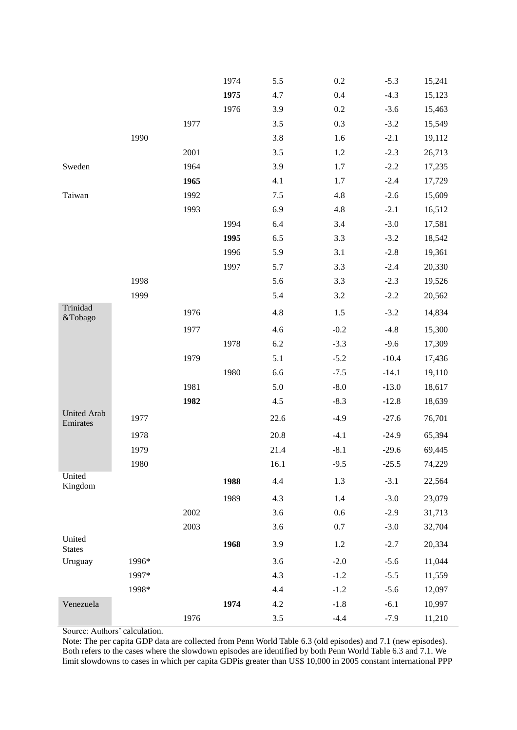|                                |       |      | 1974 | 5.5     | 0.2     | $-5.3$  | 15,241 |
|--------------------------------|-------|------|------|---------|---------|---------|--------|
|                                |       |      | 1975 | 4.7     | 0.4     | $-4.3$  | 15,123 |
|                                |       |      | 1976 | 3.9     | 0.2     | $-3.6$  | 15,463 |
|                                |       | 1977 |      | 3.5     | 0.3     | $-3.2$  | 15,549 |
|                                | 1990  |      |      | 3.8     | 1.6     | $-2.1$  | 19,112 |
|                                |       | 2001 |      | 3.5     | 1.2     | $-2.3$  | 26,713 |
| Sweden                         |       | 1964 |      | 3.9     | 1.7     | $-2.2$  | 17,235 |
|                                |       | 1965 |      | 4.1     | 1.7     | $-2.4$  | 17,729 |
| Taiwan                         |       | 1992 |      | $7.5\,$ | 4.8     | $-2.6$  | 15,609 |
|                                |       | 1993 |      | 6.9     | 4.8     | $-2.1$  | 16,512 |
|                                |       |      | 1994 | 6.4     | 3.4     | $-3.0$  | 17,581 |
|                                |       |      | 1995 | 6.5     | 3.3     | $-3.2$  | 18,542 |
|                                |       |      | 1996 | 5.9     | 3.1     | $-2.8$  | 19,361 |
|                                |       |      | 1997 | 5.7     | 3.3     | $-2.4$  | 20,330 |
|                                | 1998  |      |      | 5.6     | 3.3     | $-2.3$  | 19,526 |
|                                | 1999  |      |      | 5.4     | 3.2     | $-2.2$  | 20,562 |
| Trinidad<br>&Tobago            |       | 1976 |      | 4.8     | 1.5     | $-3.2$  | 14,834 |
|                                |       | 1977 |      | 4.6     | $-0.2$  | $-4.8$  | 15,300 |
|                                |       |      | 1978 | 6.2     | $-3.3$  | $-9.6$  | 17,309 |
|                                |       | 1979 |      | 5.1     | $-5.2$  | $-10.4$ | 17,436 |
|                                |       |      | 1980 | 6.6     | $-7.5$  | $-14.1$ | 19,110 |
|                                |       | 1981 |      | 5.0     | $-8.0$  | $-13.0$ | 18,617 |
|                                |       | 1982 |      | 4.5     | $-8.3$  | $-12.8$ | 18,639 |
| <b>United Arab</b><br>Emirates | 1977  |      |      | 22.6    | $-4.9$  | $-27.6$ | 76,701 |
|                                | 1978  |      |      | 20.8    | $-4.1$  | $-24.9$ | 65,394 |
|                                | 1979  |      |      | 21.4    | $-8.1$  | $-29.6$ | 69,445 |
|                                | 1980  |      |      | 16.1    | $-9.5$  | $-25.5$ | 74,229 |
| United<br>Kingdom              |       |      | 1988 | 4.4     | 1.3     | $-3.1$  | 22,564 |
|                                |       |      | 1989 | 4.3     | 1.4     | $-3.0$  | 23,079 |
|                                |       | 2002 |      | 3.6     | 0.6     | $-2.9$  | 31,713 |
|                                |       | 2003 |      | 3.6     | $0.7\,$ | $-3.0$  | 32,704 |
| United<br><b>States</b>        |       |      | 1968 | 3.9     | $1.2\,$ | $-2.7$  | 20,334 |
| Uruguay                        | 1996* |      |      | 3.6     | $-2.0$  | $-5.6$  | 11,044 |
|                                | 1997* |      |      | 4.3     | $-1.2$  | $-5.5$  | 11,559 |
|                                | 1998* |      |      | 4.4     | $-1.2$  | $-5.6$  | 12,097 |
| Venezuela                      |       |      | 1974 | 4.2     | $-1.8$  | $-6.1$  | 10,997 |
|                                |       | 1976 |      | 3.5     | $-4.4$  | $-7.9$  | 11,210 |

Source: Authors' calculation.

Note: The per capita GDP data are collected from Penn World Table 6.3 (old episodes) and 7.1 (new episodes). Both refers to the cases where the slowdown episodes are identified by both Penn World Table 6.3 and 7.1. We limit slowdowns to cases in which per capita GDPis greater than US\$ 10,000 in 2005 constant international PPP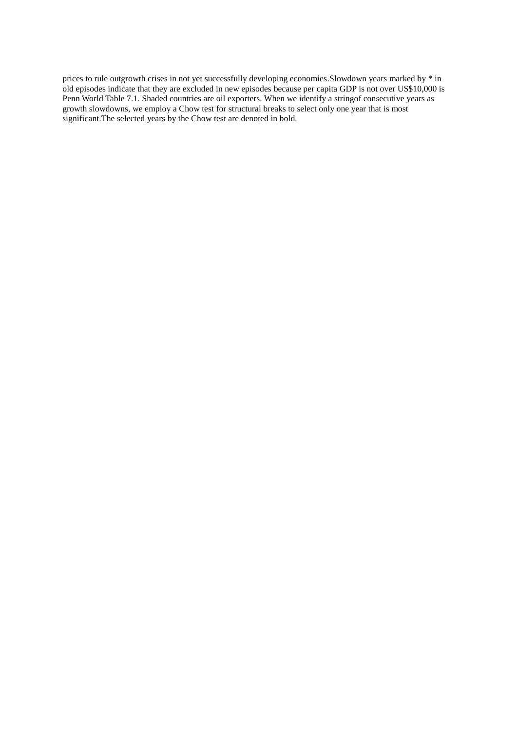prices to rule outgrowth crises in not yet successfully developing economies.Slowdown years marked by \* in old episodes indicate that they are excluded in new episodes because per capita GDP is not over US\$10,000 is Penn World Table 7.1. Shaded countries are oil exporters. When we identify a stringof consecutive years as growth slowdowns, we employ a Chow test for structural breaks to select only one year that is most significant.The selected years by the Chow test are denoted in bold.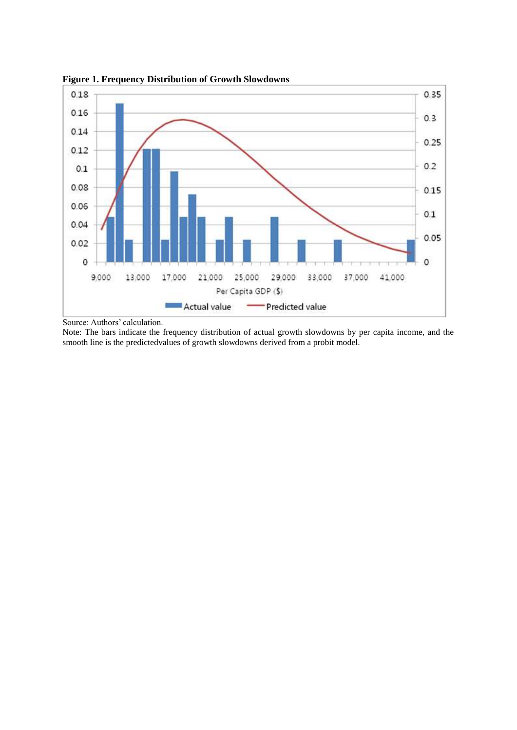

**Figure 1. Frequency Distribution of Growth Slowdowns** 

Source: Authors' calculation.

Note: The bars indicate the frequency distribution of actual growth slowdowns by per capita income, and the smooth line is the predictedvalues of growth slowdowns derived from a probit model.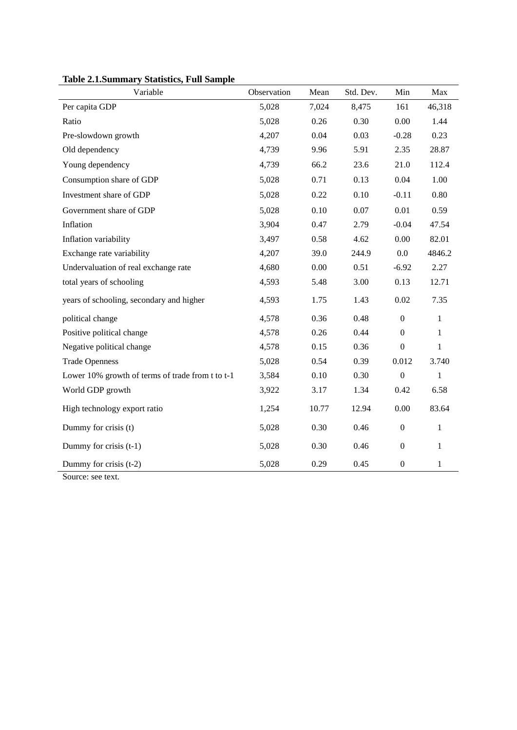| Variable                                         | Observation | Mean  | Std. Dev. | Min              | Max          |
|--------------------------------------------------|-------------|-------|-----------|------------------|--------------|
| Per capita GDP                                   | 5,028       | 7,024 | 8,475     | 161              | 46,318       |
| Ratio                                            | 5,028       | 0.26  | 0.30      | 0.00             | 1.44         |
| Pre-slowdown growth                              | 4,207       | 0.04  | 0.03      | $-0.28$          | 0.23         |
| Old dependency                                   | 4,739       | 9.96  | 5.91      | 2.35             | 28.87        |
| Young dependency                                 | 4,739       | 66.2  | 23.6      | 21.0             | 112.4        |
| Consumption share of GDP                         | 5,028       | 0.71  | 0.13      | 0.04             | 1.00         |
| Investment share of GDP                          | 5,028       | 0.22  | 0.10      | $-0.11$          | 0.80         |
| Government share of GDP                          | 5,028       | 0.10  | 0.07      | 0.01             | 0.59         |
| Inflation                                        | 3,904       | 0.47  | 2.79      | $-0.04$          | 47.54        |
| Inflation variability                            | 3,497       | 0.58  | 4.62      | 0.00             | 82.01        |
| Exchange rate variability                        | 4,207       | 39.0  | 244.9     | 0.0              | 4846.2       |
| Undervaluation of real exchange rate             | 4,680       | 0.00  | 0.51      | $-6.92$          | 2.27         |
| total years of schooling                         | 4,593       | 5.48  | 3.00      | 0.13             | 12.71        |
| years of schooling, secondary and higher         | 4,593       | 1.75  | 1.43      | 0.02             | 7.35         |
| political change                                 | 4,578       | 0.36  | 0.48      | $\boldsymbol{0}$ | 1            |
| Positive political change                        | 4,578       | 0.26  | 0.44      | $\boldsymbol{0}$ | 1            |
| Negative political change                        | 4,578       | 0.15  | 0.36      | $\boldsymbol{0}$ | $\mathbf{1}$ |
| <b>Trade Openness</b>                            | 5,028       | 0.54  | 0.39      | 0.012            | 3.740        |
| Lower 10% growth of terms of trade from t to t-1 | 3,584       | 0.10  | 0.30      | $\boldsymbol{0}$ | $\mathbf{1}$ |
| World GDP growth                                 | 3,922       | 3.17  | 1.34      | 0.42             | 6.58         |
| High technology export ratio                     | 1,254       | 10.77 | 12.94     | 0.00             | 83.64        |
| Dummy for crisis (t)                             | 5,028       | 0.30  | 0.46      | $\boldsymbol{0}$ | 1            |
| Dummy for crisis (t-1)                           | 5,028       | 0.30  | 0.46      | $\boldsymbol{0}$ | $\mathbf{1}$ |
| Dummy for crisis (t-2)                           | 5,028       | 0.29  | 0.45      | $\boldsymbol{0}$ | 1            |

**Table 2.1.Summary Statistics, Full Sample**

Source: see text.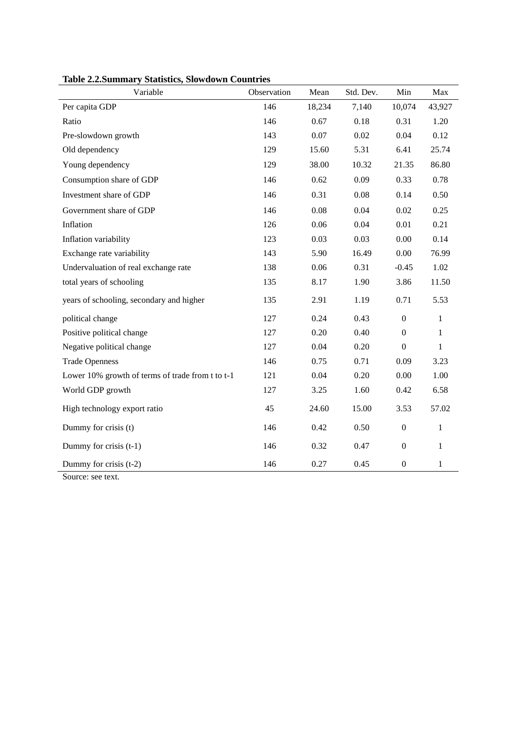| Variable                                         | Observation | Mean   | Std. Dev. | Min              | Max          |
|--------------------------------------------------|-------------|--------|-----------|------------------|--------------|
| Per capita GDP                                   | 146         | 18,234 | 7,140     | 10,074           | 43,927       |
| Ratio                                            | 146         | 0.67   | 0.18      | 0.31             | 1.20         |
| Pre-slowdown growth                              | 143         | 0.07   | 0.02      | 0.04             | 0.12         |
| Old dependency                                   | 129         | 15.60  | 5.31      | 6.41             | 25.74        |
| Young dependency                                 | 129         | 38.00  | 10.32     | 21.35            | 86.80        |
| Consumption share of GDP                         | 146         | 0.62   | 0.09      | 0.33             | 0.78         |
| Investment share of GDP                          | 146         | 0.31   | 0.08      | 0.14             | 0.50         |
| Government share of GDP                          | 146         | 0.08   | 0.04      | 0.02             | 0.25         |
| Inflation                                        | 126         | 0.06   | 0.04      | 0.01             | 0.21         |
| Inflation variability                            | 123         | 0.03   | 0.03      | 0.00             | 0.14         |
| Exchange rate variability                        | 143         | 5.90   | 16.49     | 0.00             | 76.99        |
| Undervaluation of real exchange rate             | 138         | 0.06   | 0.31      | $-0.45$          | 1.02         |
| total years of schooling                         | 135         | 8.17   | 1.90      | 3.86             | 11.50        |
| years of schooling, secondary and higher         | 135         | 2.91   | 1.19      | 0.71             | 5.53         |
| political change                                 | 127         | 0.24   | 0.43      | $\boldsymbol{0}$ | $\mathbf{1}$ |
| Positive political change                        | 127         | 0.20   | 0.40      | $\boldsymbol{0}$ | $\mathbf{1}$ |
| Negative political change                        | 127         | 0.04   | 0.20      | $\boldsymbol{0}$ | $\mathbf{1}$ |
| <b>Trade Openness</b>                            | 146         | 0.75   | 0.71      | 0.09             | 3.23         |
| Lower 10% growth of terms of trade from t to t-1 | 121         | 0.04   | 0.20      | 0.00             | 1.00         |
| World GDP growth                                 | 127         | 3.25   | 1.60      | 0.42             | 6.58         |
| High technology export ratio                     | 45          | 24.60  | 15.00     | 3.53             | 57.02        |
| Dummy for crisis (t)                             | 146         | 0.42   | 0.50      | $\boldsymbol{0}$ | $\,1$        |
| Dummy for crisis (t-1)                           | 146         | 0.32   | 0.47      | $\boldsymbol{0}$ | $\mathbf{1}$ |
| Dummy for crisis (t-2)                           | 146         | 0.27   | 0.45      | $\boldsymbol{0}$ | $\,1$        |

**Table 2.2.Summary Statistics, Slowdown Countries**

Source: see text.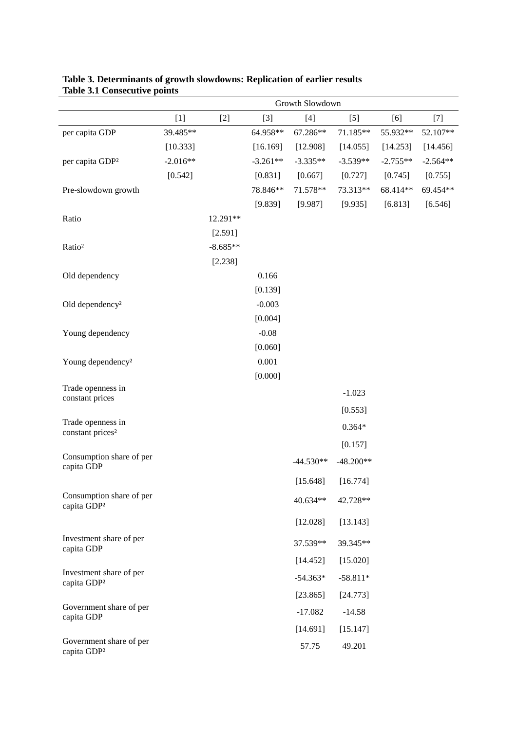|                                                   | Growth Slowdown |            |            |             |             |            |            |  |
|---------------------------------------------------|-----------------|------------|------------|-------------|-------------|------------|------------|--|
|                                                   | $[1]$           | $[2]$      | $[3]$      | $[4]$       | $[5]$       | [6]        | $[7]$      |  |
| per capita GDP                                    | 39.485**        |            | 64.958**   | 67.286**    | 71.185**    | 55.932**   | 52.107**   |  |
|                                                   | [10.333]        |            | [16.169]   | [12.908]    | [14.055]    | [14.253]   | [14.456]   |  |
| per capita GDP <sup>2</sup>                       | $-2.016**$      |            | $-3.261**$ | $-3.335**$  | $-3.539**$  | $-2.755**$ | $-2.564**$ |  |
|                                                   | [0.542]         |            | [0.831]    | [0.667]     | [0.727]     | [0.745]    | [0.755]    |  |
| Pre-slowdown growth                               |                 |            | 78.846**   | 71.578**    | 73.313**    | 68.414**   | 69.454**   |  |
|                                                   |                 |            | [9.839]    | [9.987]     | [9.935]     | [6.813]    | [6.546]    |  |
| Ratio                                             |                 | 12.291**   |            |             |             |            |            |  |
|                                                   |                 | [2.591]    |            |             |             |            |            |  |
| Ratio <sup>2</sup>                                |                 | $-8.685**$ |            |             |             |            |            |  |
|                                                   |                 | [2.238]    |            |             |             |            |            |  |
| Old dependency                                    |                 |            | 0.166      |             |             |            |            |  |
|                                                   |                 |            | [0.139]    |             |             |            |            |  |
| Old dependency <sup>2</sup>                       |                 |            | $-0.003$   |             |             |            |            |  |
|                                                   |                 |            | [0.004]    |             |             |            |            |  |
| Young dependency                                  |                 |            | $-0.08$    |             |             |            |            |  |
|                                                   |                 |            | [0.060]    |             |             |            |            |  |
| Young dependency <sup>2</sup>                     |                 |            | 0.001      |             |             |            |            |  |
| Trade openness in                                 |                 |            | [0.000]    |             |             |            |            |  |
| constant prices                                   |                 |            |            |             | $-1.023$    |            |            |  |
|                                                   |                 |            |            |             | [0.553]     |            |            |  |
| Trade openness in<br>constant prices <sup>2</sup> |                 |            |            |             | $0.364*$    |            |            |  |
|                                                   |                 |            |            |             | [0.157]     |            |            |  |
| Consumption share of per                          |                 |            |            | $-44.530**$ | $-48.200**$ |            |            |  |
| capita GDP                                        |                 |            |            |             |             |            |            |  |
|                                                   |                 |            |            | [15.648]    | [16.774]    |            |            |  |
| Consumption share of per<br>capita GDP2           |                 |            |            | 40.634**    | 42.728**    |            |            |  |
|                                                   |                 |            |            | [12.028]    | [13.143]    |            |            |  |
| Investment share of per<br>capita GDP             |                 |            |            | 37.539**    | 39.345**    |            |            |  |
|                                                   |                 |            |            | [14.452]    | [15.020]    |            |            |  |
| Investment share of per<br>capita GDP2            |                 |            |            | $-54.363*$  | $-58.811*$  |            |            |  |
|                                                   |                 |            |            | [23.865]    | [24.773]    |            |            |  |
| Government share of per<br>capita GDP             |                 |            |            | $-17.082$   | $-14.58$    |            |            |  |
|                                                   |                 |            |            | [14.691]    | [15.147]    |            |            |  |
| Government share of per<br>capita GDP2            |                 |            |            | 57.75       | 49.201      |            |            |  |

### **Table 3. Determinants of growth slowdowns: Replication of earlier results Table 3.1 Consecutive points**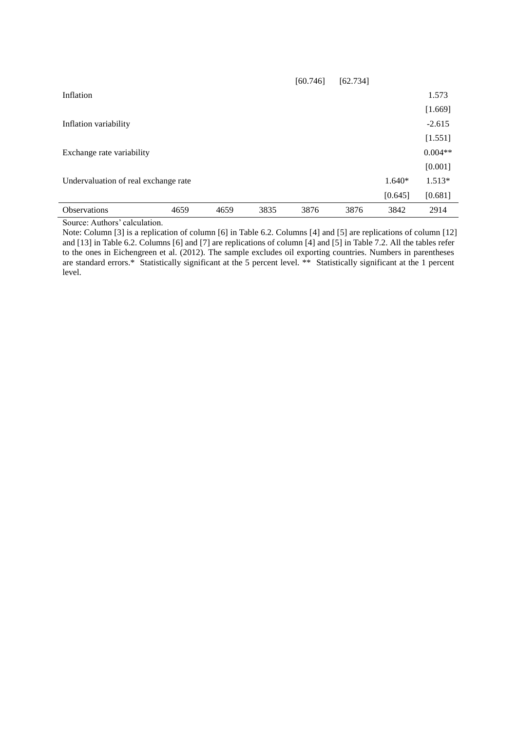|                                      |      |      |      | [60.746] | [62.734] |          |           |
|--------------------------------------|------|------|------|----------|----------|----------|-----------|
| Inflation                            |      |      |      |          |          |          | 1.573     |
|                                      |      |      |      |          |          |          | [1.669]   |
| Inflation variability                |      |      |      |          |          |          | $-2.615$  |
|                                      |      |      |      |          |          |          | [1.551]   |
| Exchange rate variability            |      |      |      |          |          |          | $0.004**$ |
|                                      |      |      |      |          |          |          | [0.001]   |
| Undervaluation of real exchange rate |      |      |      |          |          | $1.640*$ | $1.513*$  |
|                                      |      |      |      |          |          | [0.645]  | [0.681]   |
| <b>Observations</b>                  | 4659 | 4659 | 3835 | 3876     | 3876     | 3842     | 2914      |

Source: Authors' calculation.

Note: Column [3] is a replication of column [6] in Table 6.2. Columns [4] and [5] are replications of column [12] and [13] in Table 6.2. Columns [6] and [7] are replications of column [4] and [5] in Table 7.2. All the tables refer to the ones in Eichengreen et al. (2012). The sample excludes oil exporting countries. Numbers in parentheses are standard errors.\* Statistically significant at the 5 percent level. \*\* Statistically significant at the 1 percent level.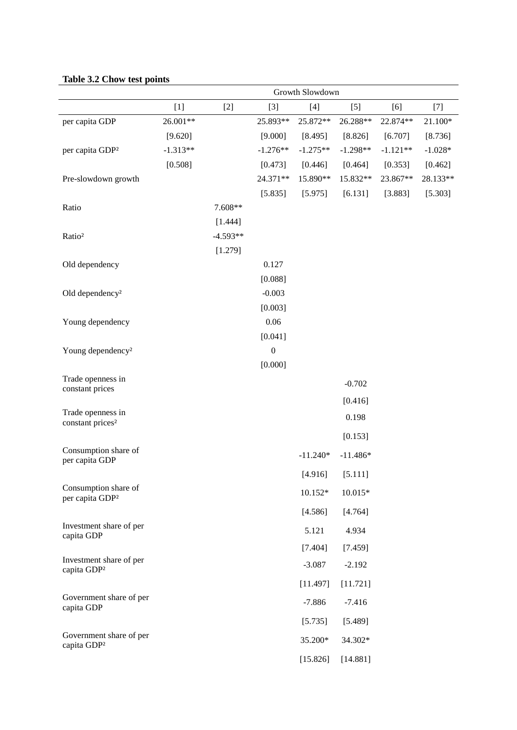|                                                     | Growth Slowdown |            |                  |            |            |            |           |  |
|-----------------------------------------------------|-----------------|------------|------------------|------------|------------|------------|-----------|--|
|                                                     | $[1]$           | $[2]$      | $[3]$            | $[4]$      | $[5]$      | [6]        | $[7]$     |  |
| per capita GDP                                      | 26.001**        |            | 25.893**         | 25.872**   | 26.288**   | 22.874**   | 21.100*   |  |
|                                                     | [9.620]         |            | [9.000]          | [8.495]    | [8.826]    | [6.707]    | [8.736]   |  |
| per capita GDP <sup>2</sup>                         | $-1.313**$      |            | $-1.276**$       | $-1.275**$ | $-1.298**$ | $-1.121**$ | $-1.028*$ |  |
|                                                     | [0.508]         |            | [0.473]          | [0.446]    | [0.464]    | [0.353]    | [0.462]   |  |
| Pre-slowdown growth                                 |                 |            | 24.371**         | 15.890**   | 15.832**   | 23.867**   | 28.133**  |  |
|                                                     |                 |            | [5.835]          | [5.975]    | [6.131]    | [3.883]    | [5.303]   |  |
| Ratio                                               |                 | 7.608**    |                  |            |            |            |           |  |
|                                                     |                 | [1.444]    |                  |            |            |            |           |  |
| Ratio <sup>2</sup>                                  |                 | $-4.593**$ |                  |            |            |            |           |  |
|                                                     |                 | [1.279]    |                  |            |            |            |           |  |
| Old dependency                                      |                 |            | 0.127            |            |            |            |           |  |
|                                                     |                 |            | [0.088]          |            |            |            |           |  |
| Old dependency <sup>2</sup>                         |                 |            | $-0.003$         |            |            |            |           |  |
|                                                     |                 |            | [0.003]          |            |            |            |           |  |
| Young dependency                                    |                 |            | 0.06             |            |            |            |           |  |
|                                                     |                 |            | [0.041]          |            |            |            |           |  |
| Young dependency <sup>2</sup>                       |                 |            | $\boldsymbol{0}$ |            |            |            |           |  |
| Trade openness in                                   |                 |            | [0.000]          |            |            |            |           |  |
| constant prices                                     |                 |            |                  |            | $-0.702$   |            |           |  |
|                                                     |                 |            |                  |            | [0.416]    |            |           |  |
| Trade openness in<br>constant prices <sup>2</sup>   |                 |            |                  |            | 0.198      |            |           |  |
|                                                     |                 |            |                  |            | [0.153]    |            |           |  |
| Consumption share of<br>per capita GDP              |                 |            |                  | $-11.240*$ | $-11.486*$ |            |           |  |
|                                                     |                 |            |                  | [4.916]    | [5.111]    |            |           |  |
| Consumption share of<br>per capita GDP <sup>2</sup> |                 |            |                  | $10.152*$  | 10.015*    |            |           |  |
|                                                     |                 |            |                  | [4.586]    | [4.764]    |            |           |  |
| Investment share of per<br>capita GDP               |                 |            |                  | 5.121      | 4.934      |            |           |  |
|                                                     |                 |            |                  | [7.404]    | [7.459]    |            |           |  |
| Investment share of per<br>capita GDP2              |                 |            |                  | $-3.087$   | $-2.192$   |            |           |  |
|                                                     |                 |            |                  | [11.497]   | [11.721]   |            |           |  |
| Government share of per<br>capita GDP               |                 |            |                  | $-7.886$   | $-7.416$   |            |           |  |
|                                                     |                 |            |                  | [5.735]    | [5.489]    |            |           |  |
| Government share of per<br>capita GDP2              |                 |            |                  | 35.200*    | 34.302*    |            |           |  |
|                                                     |                 |            |                  | [15.826]   | [14.881]   |            |           |  |

# **Table 3.2 Chow test points**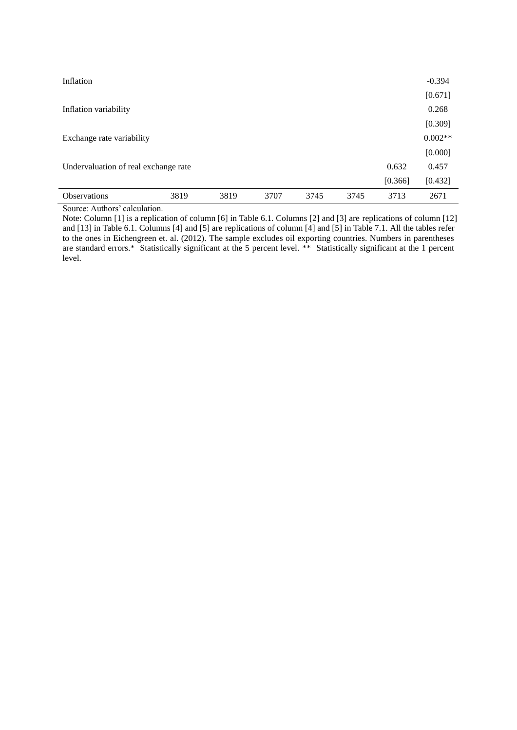| Inflation                            |      |      |      |      |      |         | $-0.394$  |
|--------------------------------------|------|------|------|------|------|---------|-----------|
|                                      |      |      |      |      |      |         | [0.671]   |
| Inflation variability                |      |      |      |      |      |         | 0.268     |
|                                      |      |      |      |      |      |         | [0.309]   |
| Exchange rate variability            |      |      |      |      |      |         | $0.002**$ |
|                                      |      |      |      |      |      |         | [0.000]   |
| Undervaluation of real exchange rate |      |      |      |      |      | 0.632   | 0.457     |
|                                      |      |      |      |      |      | [0.366] | [0.432]   |
| <b>Observations</b>                  | 3819 | 3819 | 3707 | 3745 | 3745 | 3713    | 2671      |

Source: Authors' calculation.

Note: Column [1] is a replication of column [6] in Table 6.1. Columns [2] and [3] are replications of column [12] and [13] in Table 6.1. Columns [4] and [5] are replications of column [4] and [5] in Table 7.1. All the tables refer to the ones in Eichengreen et. al. (2012). The sample excludes oil exporting countries. Numbers in parentheses are standard errors.\* Statistically significant at the 5 percent level. \*\* Statistically significant at the 1 percent level.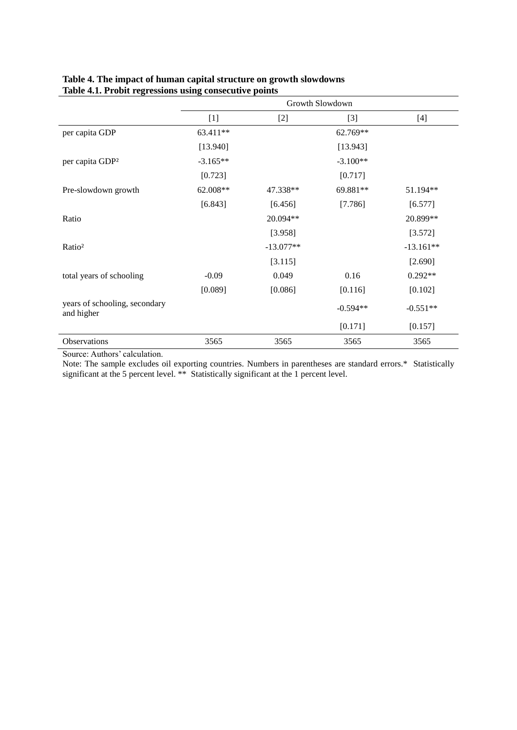|                                             |            |             | Growth Slowdown |             |
|---------------------------------------------|------------|-------------|-----------------|-------------|
|                                             | $[1]$      | $[2]$       | $[3]$           | $[4]$       |
| per capita GDP                              | 63.411**   |             | 62.769**        |             |
|                                             | [13.940]   |             | [13.943]        |             |
| per capita GDP <sup>2</sup>                 | $-3.165**$ |             | $-3.100**$      |             |
|                                             | [0.723]    |             | [0.717]         |             |
| Pre-slowdown growth                         | 62.008**   | 47.338**    | 69.881**        | 51.194**    |
|                                             | [6.843]    | [6.456]     | [7.786]         | [6.577]     |
| Ratio                                       |            | 20.094**    |                 | 20.899**    |
|                                             |            | [3.958]     |                 | [3.572]     |
| Ratio <sup>2</sup>                          |            | $-13.077**$ |                 | $-13.161**$ |
|                                             |            | [3.115]     |                 | [2.690]     |
| total years of schooling                    | $-0.09$    | 0.049       | 0.16            | $0.292**$   |
|                                             | [0.089]    | [0.086]     | [0.116]         | [0.102]     |
| years of schooling, secondary<br>and higher |            |             | $-0.594**$      | $-0.551**$  |
|                                             |            |             | [0.171]         | [0.157]     |
| Observations                                | 3565       | 3565        | 3565            | 3565        |

## **Table 4. The impact of human capital structure on growth slowdowns Table 4.1. Probit regressions using consecutive points**

Source: Authors' calculation.

Note: The sample excludes oil exporting countries. Numbers in parentheses are standard errors.\* Statistically significant at the 5 percent level. \*\* Statistically significant at the 1 percent level.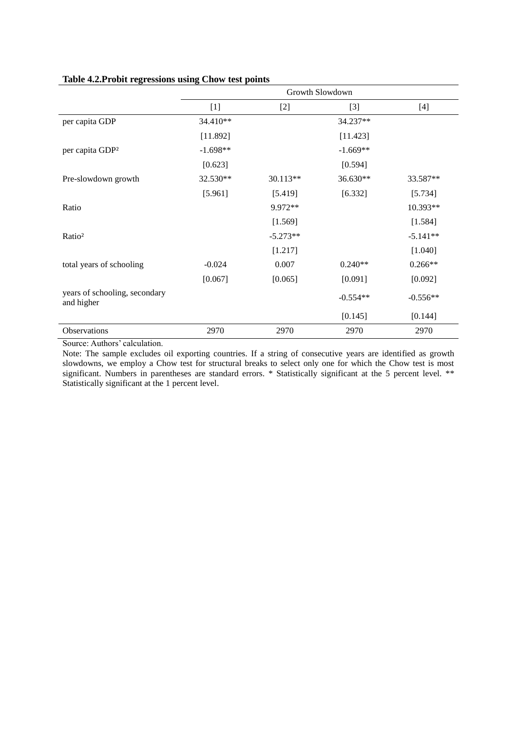|                                             |            |            | Growth Slowdown |            |
|---------------------------------------------|------------|------------|-----------------|------------|
|                                             | $[1]$      | $[2]$      | $[3]$           | $[4]$      |
| per capita GDP                              | 34.410**   |            | 34.237**        |            |
|                                             | [11.892]   |            | [11.423]        |            |
| per capita GDP <sup>2</sup>                 | $-1.698**$ |            | $-1.669**$      |            |
|                                             | [0.623]    |            | [0.594]         |            |
| Pre-slowdown growth                         | 32.530**   | 30.113**   | 36.630**        | 33.587**   |
|                                             | [5.961]    | [5.419]    | [6.332]         | [5.734]    |
| Ratio                                       |            | 9.972**    |                 | 10.393**   |
|                                             |            | [1.569]    |                 | [1.584]    |
| Ratio <sup>2</sup>                          |            | $-5.273**$ |                 | $-5.141**$ |
|                                             |            | [1.217]    |                 | [1.040]    |
| total years of schooling                    | $-0.024$   | 0.007      | $0.240**$       | $0.266**$  |
|                                             | [0.067]    | [0.065]    | [0.091]         | [0.092]    |
| years of schooling, secondary<br>and higher |            |            | $-0.554**$      | $-0.556**$ |
|                                             |            |            | [0.145]         | [0.144]    |
| Observations                                | 2970       | 2970       | 2970            | 2970       |

## **Table 4.2.Probit regressions using Chow test points**

Source: Authors' calculation.

Note: The sample excludes oil exporting countries. If a string of consecutive years are identified as growth slowdowns, we employ a Chow test for structural breaks to select only one for which the Chow test is most significant. Numbers in parentheses are standard errors. \* Statistically significant at the 5 percent level. \*\* Statistically significant at the 1 percent level.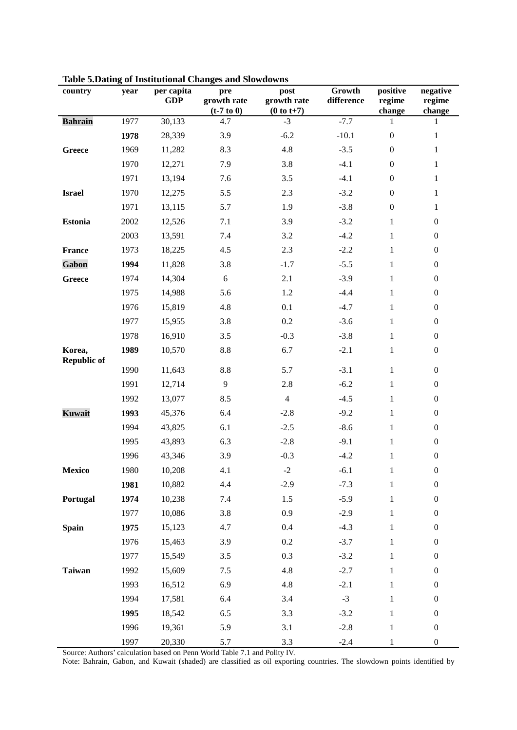| country                      | year | per capita<br><b>GDP</b> | pre<br>growth rate<br>$(t-7 t0 0)$ | post<br>growth rate<br>$(0 to t+7)$ | Growth<br>difference | positive<br>regime<br>change | negative<br>regime<br>change |
|------------------------------|------|--------------------------|------------------------------------|-------------------------------------|----------------------|------------------------------|------------------------------|
| <b>Bahrain</b>               | 1977 | 30,133                   | 4.7                                | $-3$                                | $-7.7$               | 1                            | 1                            |
|                              | 1978 | 28,339                   | 3.9                                | $-6.2$                              | $-10.1$              | $\boldsymbol{0}$             | $\mathbf{1}$                 |
| Greece                       | 1969 | 11,282                   | 8.3                                | 4.8                                 | $-3.5$               | $\boldsymbol{0}$             | $\mathbf{1}$                 |
|                              | 1970 | 12,271                   | 7.9                                | 3.8                                 | $-4.1$               | $\boldsymbol{0}$             | $\mathbf{1}$                 |
|                              | 1971 | 13,194                   | 7.6                                | 3.5                                 | $-4.1$               | $\boldsymbol{0}$             | $\mathbf{1}$                 |
| <b>Israel</b>                | 1970 | 12,275                   | 5.5                                | 2.3                                 | $-3.2$               | $\boldsymbol{0}$             | $\mathbf{1}$                 |
|                              | 1971 | 13,115                   | 5.7                                | 1.9                                 | $-3.8$               | $\boldsymbol{0}$             | $\mathbf{1}$                 |
| <b>Estonia</b>               | 2002 | 12,526                   | 7.1                                | 3.9                                 | $-3.2$               | $\mathbf{1}$                 | $\boldsymbol{0}$             |
|                              | 2003 | 13,591                   | 7.4                                | 3.2                                 | $-4.2$               | $\mathbf{1}$                 | $\boldsymbol{0}$             |
| <b>France</b>                | 1973 | 18,225                   | 4.5                                | 2.3                                 | $-2.2$               | $\mathbf{1}$                 | $\boldsymbol{0}$             |
| Gabon                        | 1994 | 11,828                   | 3.8                                | $-1.7$                              | $-5.5$               | $\mathbf{1}$                 | $\boldsymbol{0}$             |
| Greece                       | 1974 | 14,304                   | $6\,$                              | 2.1                                 | $-3.9$               | $\mathbf{1}$                 | $\boldsymbol{0}$             |
|                              | 1975 | 14,988                   | 5.6                                | 1.2                                 | $-4.4$               | $\mathbf 1$                  | $\boldsymbol{0}$             |
|                              | 1976 | 15,819                   | 4.8                                | 0.1                                 | $-4.7$               | $\mathbf{1}$                 | $\boldsymbol{0}$             |
|                              | 1977 | 15,955                   | 3.8                                | $0.2\,$                             | $-3.6$               | $\mathbf{1}$                 | $\boldsymbol{0}$             |
|                              | 1978 | 16,910                   | 3.5                                | $-0.3$                              | $-3.8$               | $\mathbf{1}$                 | $\boldsymbol{0}$             |
| Korea,<br><b>Republic of</b> | 1989 | 10,570                   | $\!\!\!\!\!8.8$                    | 6.7                                 | $-2.1$               | $\mathbf{1}$                 | $\boldsymbol{0}$             |
|                              | 1990 | 11,643                   | $\!\!\!\!\!8.8$                    | 5.7                                 | $-3.1$               | $\mathbf{1}$                 | $\boldsymbol{0}$             |
|                              | 1991 | 12,714                   | 9                                  | 2.8                                 | $-6.2$               | $\mathbf{1}$                 | $\boldsymbol{0}$             |
|                              | 1992 | 13,077                   | 8.5                                | $\overline{4}$                      | $-4.5$               | $\mathbf{1}$                 | $\boldsymbol{0}$             |
| <b>Kuwait</b>                | 1993 | 45,376                   | 6.4                                | $-2.8$                              | $-9.2$               | $\mathbf{1}$                 | $\boldsymbol{0}$             |
|                              | 1994 | 43,825                   | 6.1                                | $-2.5$                              | $-8.6$               | $\mathbf{1}$                 | $\boldsymbol{0}$             |
|                              | 1995 | 43,893                   | 6.3                                | $-2.8$                              | $-9.1$               | $\mathbf{1}$                 | $\boldsymbol{0}$             |
|                              | 1996 | 43,346                   | 3.9                                | $-0.3$                              | $-4.2$               | $\mathbf{1}$                 | $\boldsymbol{0}$             |
| Mexico                       | 1980 | 10,208                   | 4.1                                | $-2$                                | $-6.1$               | $\mathbf{1}$                 | $\boldsymbol{0}$             |
|                              | 1981 | 10,882                   | 4.4                                | $-2.9$                              | $-7.3$               | $\mathbf{1}$                 | $\boldsymbol{0}$             |
| Portugal                     | 1974 | 10,238                   | 7.4                                | 1.5                                 | $-5.9$               | $\mathbf{1}$                 | $\boldsymbol{0}$             |
|                              | 1977 | 10,086                   | 3.8                                | 0.9                                 | $-2.9$               | $\mathbf{1}$                 | $\boldsymbol{0}$             |
| <b>Spain</b>                 | 1975 | 15,123                   | 4.7                                | 0.4                                 | $-4.3$               | $\mathbf{1}$                 | $\boldsymbol{0}$             |
|                              | 1976 | 15,463                   | 3.9                                | 0.2                                 | $-3.7$               | $\mathbf{1}$                 | $\boldsymbol{0}$             |
|                              | 1977 | 15,549                   | 3.5                                | 0.3                                 | $-3.2$               | $\mathbf{1}$                 | $\boldsymbol{0}$             |
| <b>Taiwan</b>                | 1992 | 15,609                   | 7.5                                | 4.8                                 | $-2.7$               | $\mathbf{1}$                 | $\boldsymbol{0}$             |
|                              | 1993 | 16,512                   | 6.9                                | 4.8                                 | $-2.1$               | $\mathbf{1}$                 | $\boldsymbol{0}$             |
|                              | 1994 | 17,581                   | 6.4                                | 3.4                                 | $-3$                 | $\mathbf{1}$                 | $\boldsymbol{0}$             |
|                              | 1995 | 18,542                   | 6.5                                | 3.3                                 | $-3.2$               | $\mathbf{1}$                 | $\boldsymbol{0}$             |
|                              | 1996 | 19,361                   | 5.9                                | 3.1                                 | $-2.8$               | $\mathbf{1}$                 | $\boldsymbol{0}$             |
|                              | 1997 | 20,330                   | 5.7                                | 3.3                                 | $-2.4$               | $\mathbf{1}$                 | $\boldsymbol{0}$             |

**Table 5.Dating of Institutional Changes and Slowdowns**

Source: Authors' calculation based on Penn World Table 7.1 and Polity IV.

Note: Bahrain, Gabon, and Kuwait (shaded) are classified as oil exporting countries. The slowdown points identified by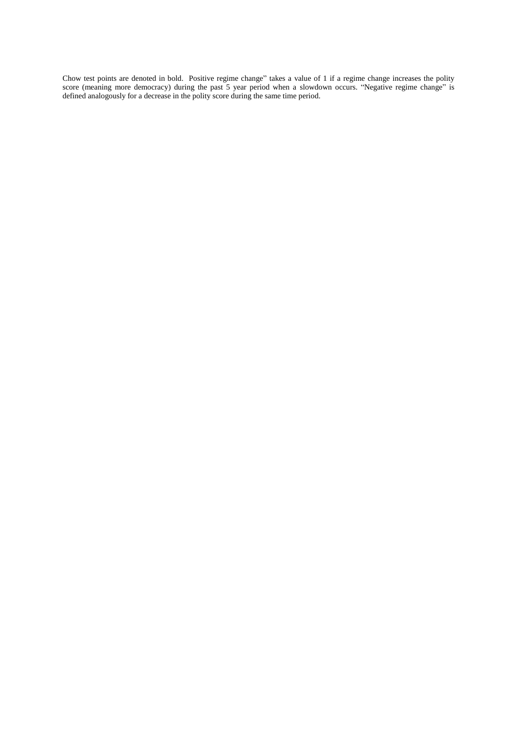Chow test points are denoted in bold. Positive regime change" takes a value of 1 if a regime change increases the polity score (meaning more democracy) during the past 5 year period when a slowdown occurs. "Negative regime change" is defined analogously for a decrease in the polity score during the same time period.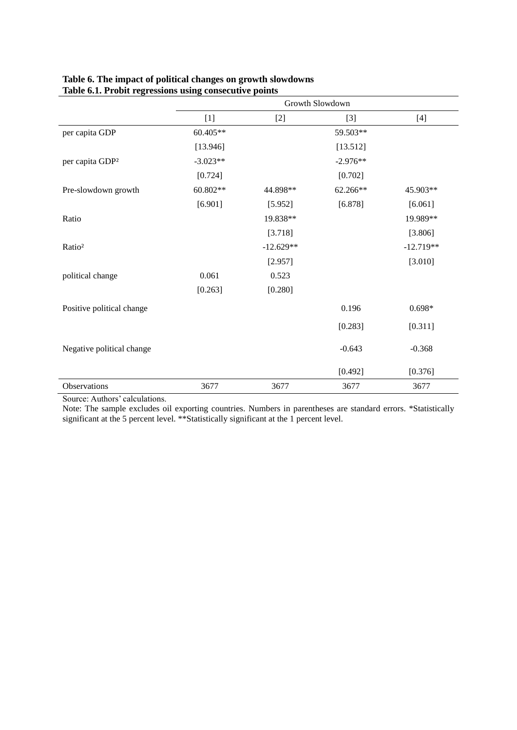|                             | Growth Slowdown |             |            |             |  |  |  |  |
|-----------------------------|-----------------|-------------|------------|-------------|--|--|--|--|
|                             | $[1]$           | $[2]$       | $[3]$      | $[4]$       |  |  |  |  |
| per capita GDP              | $60.405**$      |             | 59.503**   |             |  |  |  |  |
|                             | [13.946]        |             | [13.512]   |             |  |  |  |  |
| per capita GDP <sup>2</sup> | $-3.023**$      |             | $-2.976**$ |             |  |  |  |  |
|                             | [0.724]         |             | [0.702]    |             |  |  |  |  |
| Pre-slowdown growth         | 60.802**        | 44.898**    | 62.266**   | 45.903**    |  |  |  |  |
|                             | [6.901]         | [5.952]     | [6.878]    | [6.061]     |  |  |  |  |
| Ratio                       |                 | 19.838**    |            | 19.989**    |  |  |  |  |
|                             |                 | [3.718]     |            | [3.806]     |  |  |  |  |
| Ratio <sup>2</sup>          |                 | $-12.629**$ |            | $-12.719**$ |  |  |  |  |
|                             |                 | [2.957]     |            | [3.010]     |  |  |  |  |
| political change            | 0.061           | 0.523       |            |             |  |  |  |  |
|                             | [0.263]         | [0.280]     |            |             |  |  |  |  |
| Positive political change   |                 |             | 0.196      | $0.698*$    |  |  |  |  |
|                             |                 |             | [0.283]    | [0.311]     |  |  |  |  |
| Negative political change   |                 |             | $-0.643$   | $-0.368$    |  |  |  |  |
|                             |                 |             | [0.492]    | [0.376]     |  |  |  |  |
| Observations                | 3677            | 3677        | 3677       | 3677        |  |  |  |  |

### **Table 6. The impact of political changes on growth slowdowns Table 6.1. Probit regressions using consecutive points**

Source: Authors' calculations.

Note: The sample excludes oil exporting countries. Numbers in parentheses are standard errors. \*Statistically significant at the 5 percent level. \*\*Statistically significant at the 1 percent level.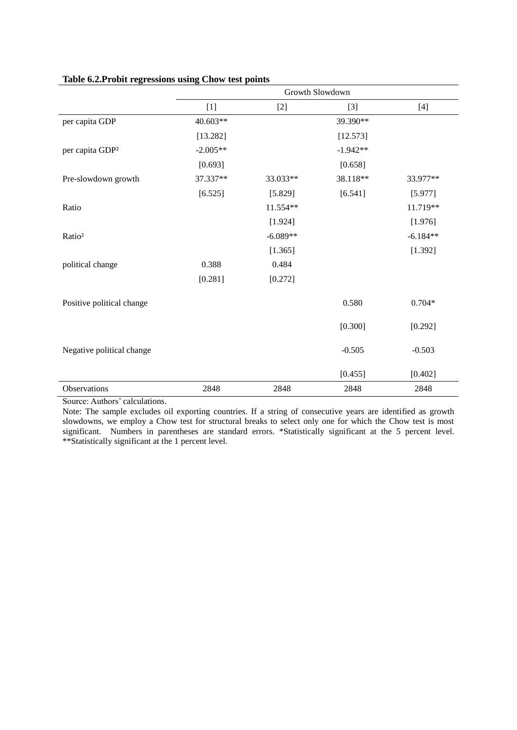|                             | Growth Slowdown |            |            |            |  |  |  |  |
|-----------------------------|-----------------|------------|------------|------------|--|--|--|--|
|                             | $[1]$           | $[2]$      | $[3]$      | $[4]$      |  |  |  |  |
| per capita GDP              | 40.603**        |            | 39.390**   |            |  |  |  |  |
|                             | [13.282]        |            | [12.573]   |            |  |  |  |  |
| per capita GDP <sup>2</sup> | $-2.005**$      |            | $-1.942**$ |            |  |  |  |  |
|                             | [0.693]         |            | [0.658]    |            |  |  |  |  |
| Pre-slowdown growth         | 37.337**        | 33.033**   | 38.118**   | 33.977**   |  |  |  |  |
|                             | [6.525]         | [5.829]    | [6.541]    | [5.977]    |  |  |  |  |
| Ratio                       |                 | 11.554**   |            | 11.719**   |  |  |  |  |
|                             |                 | [1.924]    |            | [1.976]    |  |  |  |  |
| Ratio <sup>2</sup>          |                 | $-6.089**$ |            | $-6.184**$ |  |  |  |  |
|                             |                 | [1.365]    |            | [1.392]    |  |  |  |  |
| political change            | 0.388           | 0.484      |            |            |  |  |  |  |
|                             | [0.281]         | [0.272]    |            |            |  |  |  |  |
| Positive political change   |                 |            | 0.580      | $0.704*$   |  |  |  |  |
|                             |                 |            | [0.300]    | [0.292]    |  |  |  |  |
| Negative political change   |                 |            | $-0.505$   | $-0.503$   |  |  |  |  |
|                             |                 |            | [0.455]    | [0.402]    |  |  |  |  |
| Observations                | 2848            | 2848       | 2848       | 2848       |  |  |  |  |

# **Table 6.2.Probit regressions using Chow test points**

Source: Authors' calculations.

Note: The sample excludes oil exporting countries. If a string of consecutive years are identified as growth slowdowns, we employ a Chow test for structural breaks to select only one for which the Chow test is most significant. Numbers in parentheses are standard errors. \*Statistically significant at the 5 percent level. \*\*Statistically significant at the 1 percent level.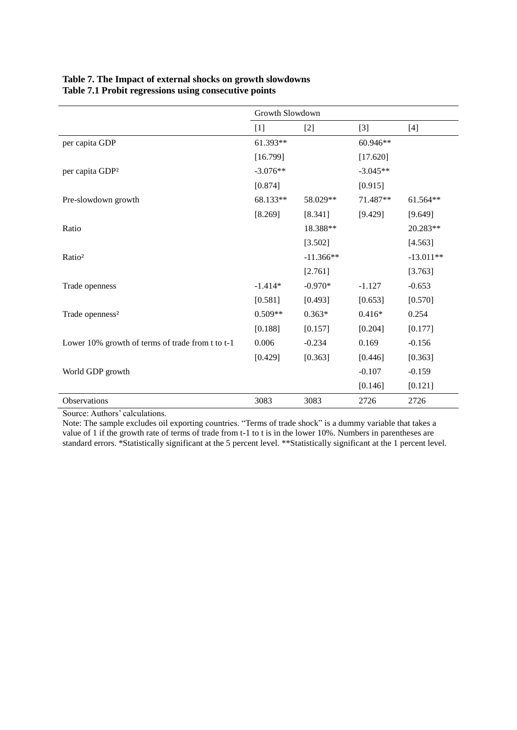### **Table 7. The Impact of external shocks on growth slowdowns Table 7.1 Probit regressions using consecutive points**

|                                                  | Growth Slowdown |             |            |             |
|--------------------------------------------------|-----------------|-------------|------------|-------------|
|                                                  | $[1]$           | $[2]$       | $[3]$      | $[4]$       |
| per capita GDP                                   | 61.393**        |             | 60.946**   |             |
|                                                  | [16.799]        |             | [17.620]   |             |
| per capita GDP <sup>2</sup>                      | $-3.076**$      |             | $-3.045**$ |             |
|                                                  | [0.874]         |             | [0.915]    |             |
| Pre-slowdown growth                              | 68.133**        | 58.029**    | 71.487**   | 61.564**    |
|                                                  | [8.269]         | [8.341]     | [9.429]    | [9.649]     |
| Ratio                                            |                 | 18.388**    |            | 20.283**    |
|                                                  |                 | [3.502]     |            | [4.563]     |
| Ratio <sup>2</sup>                               |                 | $-11.366**$ |            | $-13.011**$ |
|                                                  |                 | [2.761]     |            | [3.763]     |
| Trade openness                                   | $-1.414*$       | $-0.970*$   | $-1.127$   | $-0.653$    |
|                                                  | [0.581]         | [0.493]     | [0.653]    | [0.570]     |
| Trade openness <sup>2</sup>                      | $0.509**$       | $0.363*$    | $0.416*$   | 0.254       |
|                                                  | [0.188]         | [0.157]     | [0.204]    | [0.177]     |
| Lower 10% growth of terms of trade from t to t-1 | 0.006           | $-0.234$    | 0.169      | $-0.156$    |
|                                                  | [0.429]         | [0.363]     | [0.446]    | [0.363]     |
| World GDP growth                                 |                 |             | $-0.107$   | $-0.159$    |
|                                                  |                 |             | [0.146]    | [0.121]     |
| Observations                                     | 3083            | 3083        | 2726       | 2726        |

Source: Authors' calculations.

Note: The sample excludes oil exporting countries. "Terms of trade shock" is a dummy variable that takes a value of 1 if the growth rate of terms of trade from t-1 to t is in the lower 10%. Numbers in parentheses are standard errors. \*Statistically significant at the 5 percent level. \*\*Statistically significant at the 1 percent level.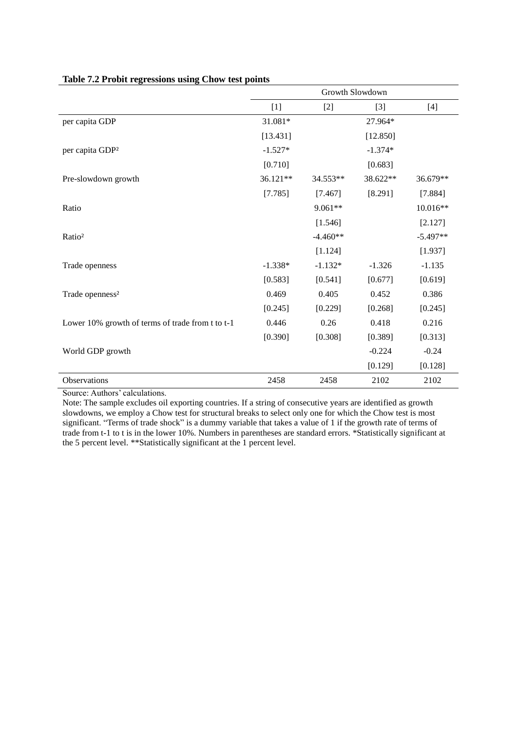|                                                  |           |            | Growth Slowdown |            |
|--------------------------------------------------|-----------|------------|-----------------|------------|
|                                                  | $[1]$     | $[2]$      | $[3]$           | $[4]$      |
| per capita GDP                                   | 31.081*   |            | 27.964*         |            |
|                                                  | [13.431]  |            | [12.850]        |            |
| per capita GDP <sup>2</sup>                      | $-1.527*$ |            | $-1.374*$       |            |
|                                                  | [0.710]   |            | [0.683]         |            |
| Pre-slowdown growth                              | 36.121**  | 34.553**   | 38.622**        | 36.679**   |
|                                                  | [7.785]   | [7.467]    | [8.291]         | [7.884]    |
| Ratio                                            |           | 9.061**    |                 | 10.016**   |
|                                                  |           | [1.546]    |                 | [2.127]    |
| Ratio <sup>2</sup>                               |           | $-4.460**$ |                 | $-5.497**$ |
|                                                  |           | [1.124]    |                 | [1.937]    |
| Trade openness                                   | $-1.338*$ | $-1.132*$  | $-1.326$        | $-1.135$   |
|                                                  | [0.583]   | [0.541]    | [0.677]         | [0.619]    |
| Trade openness <sup>2</sup>                      | 0.469     | 0.405      | 0.452           | 0.386      |
|                                                  | [0.245]   | [0.229]    | [0.268]         | [0.245]    |
| Lower 10% growth of terms of trade from t to t-1 | 0.446     | 0.26       | 0.418           | 0.216      |
|                                                  | [0.390]   | [0.308]    | [0.389]         | [0.313]    |
| World GDP growth                                 |           |            | $-0.224$        | $-0.24$    |
|                                                  |           |            | [0.129]         | [0.128]    |
| Observations                                     | 2458      | 2458       | 2102            | 2102       |

### **Table 7.2 Probit regressions using Chow test points**

Source: Authors' calculations.

Note: The sample excludes oil exporting countries. If a string of consecutive years are identified as growth slowdowns, we employ a Chow test for structural breaks to select only one for which the Chow test is most significant. "Terms of trade shock" is a dummy variable that takes a value of 1 if the growth rate of terms of trade from t-1 to t is in the lower 10%. Numbers in parentheses are standard errors. \*Statistically significant at the 5 percent level. \*\*Statistically significant at the 1 percent level.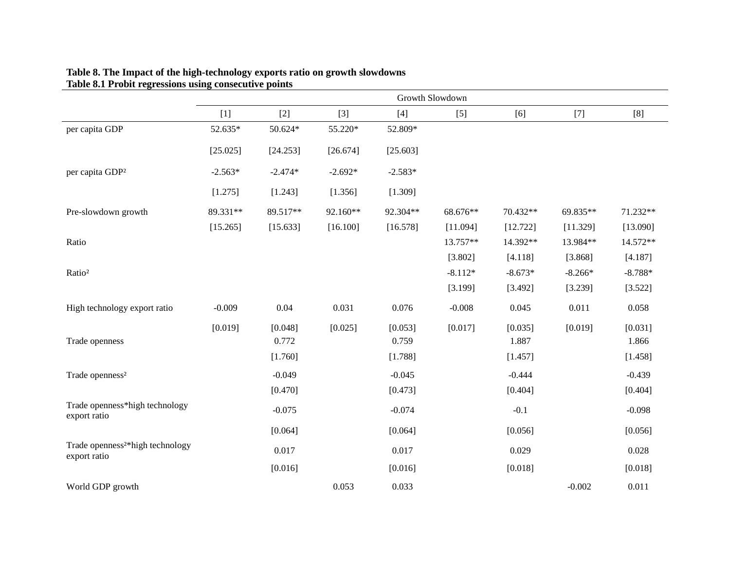|                                                              |           |                  |           |                  | Growth Slowdown |                  |           |                  |
|--------------------------------------------------------------|-----------|------------------|-----------|------------------|-----------------|------------------|-----------|------------------|
|                                                              | $[1]$     | $[2]$            | $[3]$     | $[4]$            | $[5]$           | [6]              | $[7]$     | [8]              |
| per capita GDP                                               | 52.635*   | 50.624*          | 55.220*   | 52.809*          |                 |                  |           |                  |
|                                                              | [25.025]  | [24.253]         | [26.674]  | [25.603]         |                 |                  |           |                  |
| per capita GDP <sup>2</sup>                                  | $-2.563*$ | $-2.474*$        | $-2.692*$ | $-2.583*$        |                 |                  |           |                  |
|                                                              | [1.275]   | [1.243]          | [1.356]   | [1.309]          |                 |                  |           |                  |
| Pre-slowdown growth                                          | 89.331**  | 89.517**         | 92.160**  | 92.304**         | 68.676**        | 70.432**         | 69.835**  | 71.232**         |
|                                                              | [15.265]  | [15.633]         | [16.100]  | [16.578]         | [11.094]        | [12.722]         | [11.329]  | [13.090]         |
| Ratio                                                        |           |                  |           |                  | 13.757**        | 14.392**         | 13.984**  | 14.572**         |
|                                                              |           |                  |           |                  | [3.802]         | [4.118]          | [3.868]   | [4.187]          |
| Ratio <sup>2</sup>                                           |           |                  |           |                  | $-8.112*$       | $-8.673*$        | $-8.266*$ | $-8.788*$        |
|                                                              |           |                  |           |                  | [3.199]         | [3.492]          | [3.239]   | [3.522]          |
| High technology export ratio                                 | $-0.009$  | 0.04             | 0.031     | 0.076            | $-0.008$        | 0.045            | 0.011     | 0.058            |
| Trade openness                                               | [0.019]   | [0.048]<br>0.772 | [0.025]   | [0.053]<br>0.759 | [0.017]         | [0.035]<br>1.887 | [0.019]   | [0.031]<br>1.866 |
|                                                              |           | [1.760]          |           | [1.788]          |                 | [1.457]          |           | [1.458]          |
| Trade openness <sup>2</sup>                                  |           | $-0.049$         |           | $-0.045$         |                 | $-0.444$         |           | $-0.439$         |
|                                                              |           | [0.470]          |           | [0.473]          |                 | [0.404]          |           | [0.404]          |
| Trade openness*high technology<br>export ratio               |           | $-0.075$         |           | $-0.074$         |                 | $-0.1$           |           | $-0.098$         |
|                                                              |           | [0.064]          |           | [0.064]          |                 | [0.056]          |           | [0.056]          |
| Trade openness <sup>2*</sup> high technology<br>export ratio |           | 0.017            |           | 0.017            |                 | 0.029            |           | 0.028            |
|                                                              |           | [0.016]          |           | [0.016]          |                 | [0.018]          |           | [0.018]          |
| World GDP growth                                             |           |                  | 0.053     | 0.033            |                 |                  | $-0.002$  | 0.011            |

#### **Table 8. The Impact of the high-technology exports ratio on growth slowdowns Table 8.1 Probit regressions using consecutive points**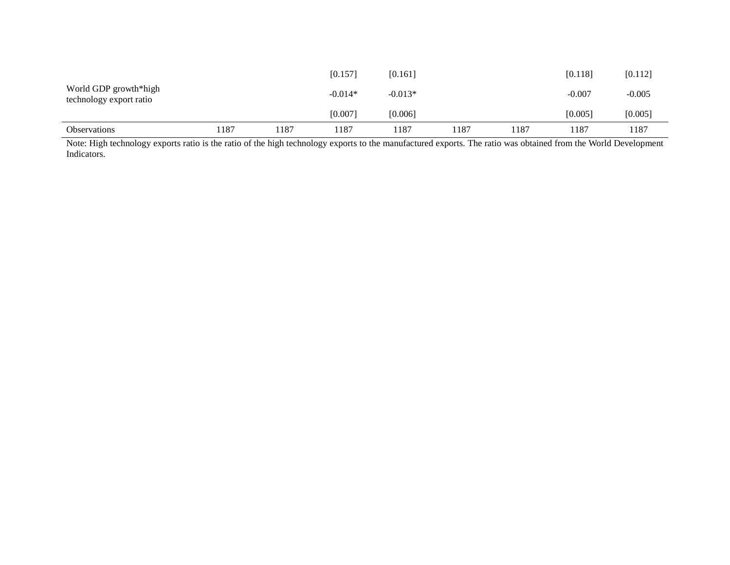| <b>Observations</b>                              | . 187 | 187ء | 187       | 187       | 1187 | 1187 | 1187     | 187      |
|--------------------------------------------------|-------|------|-----------|-----------|------|------|----------|----------|
|                                                  |       |      | [0.007]   | [0.006]   |      |      | [0.005]  | [0.005]  |
| World GDP growth*high<br>technology export ratio |       |      | $-0.014*$ | $-0.013*$ |      |      | $-0.007$ | $-0.005$ |
|                                                  |       |      | [0.157]   | [0.161]   |      |      | [0.118]  | [0.112]  |

Note: High technology exports ratio is the ratio of the high technology exports to the manufactured exports. The ratio was obtained from the World Development Indicators.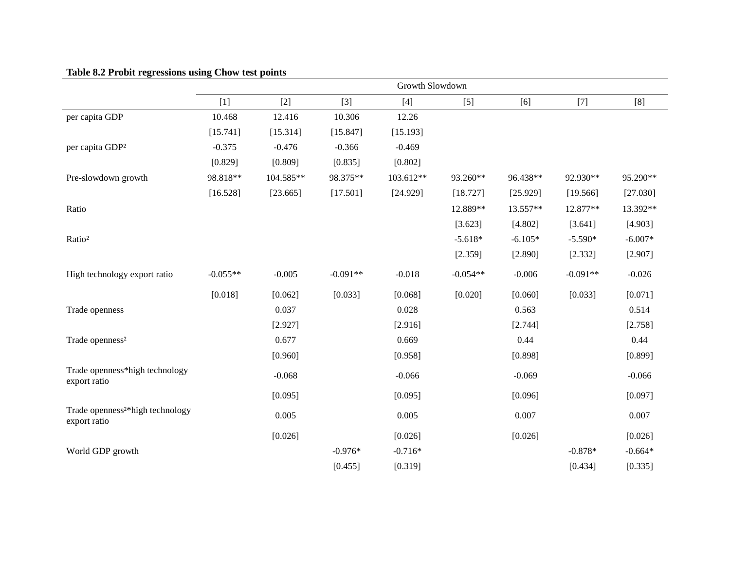# **Table 8.2 Probit regressions using Chow test points**

|                                                              | Growth Slowdown |           |            |           |            |           |            |           |  |  |
|--------------------------------------------------------------|-----------------|-----------|------------|-----------|------------|-----------|------------|-----------|--|--|
|                                                              | $[1]$           | $[2]$     | $[3]$      | $[4]$     | $[5]$      | [6]       | $[7]$      | [8]       |  |  |
| per capita GDP                                               | 10.468          | 12.416    | 10.306     | 12.26     |            |           |            |           |  |  |
|                                                              | [15.741]        | [15.314]  | [15.847]   | [15.193]  |            |           |            |           |  |  |
| per capita GDP <sup>2</sup>                                  | $-0.375$        | $-0.476$  | $-0.366$   | $-0.469$  |            |           |            |           |  |  |
|                                                              | [0.829]         | [0.809]   | [0.835]    | [0.802]   |            |           |            |           |  |  |
| Pre-slowdown growth                                          | 98.818**        | 104.585** | 98.375**   | 103.612** | 93.260**   | 96.438**  | 92.930**   | 95.290**  |  |  |
|                                                              | [16.528]        | [23.665]  | [17.501]   | [24.929]  | [18.727]   | [25.929]  | [19.566]   | [27.030]  |  |  |
| Ratio                                                        |                 |           |            |           | 12.889**   | 13.557**  | 12.877**   | 13.392**  |  |  |
|                                                              |                 |           |            |           | [3.623]    | [4.802]   | [3.641]    | [4.903]   |  |  |
| Ratio <sup>2</sup>                                           |                 |           |            |           | $-5.618*$  | $-6.105*$ | $-5.590*$  | $-6.007*$ |  |  |
|                                                              |                 |           |            |           | [2.359]    | [2.890]   | [2.332]    | [2.907]   |  |  |
| High technology export ratio                                 | $-0.055**$      | $-0.005$  | $-0.091**$ | $-0.018$  | $-0.054**$ | $-0.006$  | $-0.091**$ | $-0.026$  |  |  |
|                                                              | [0.018]         | [0.062]   | [0.033]    | [0.068]   | [0.020]    | [0.060]   | [0.033]    | [0.071]   |  |  |
| Trade openness                                               |                 | 0.037     |            | 0.028     |            | 0.563     |            | 0.514     |  |  |
|                                                              |                 | [2.927]   |            | [2.916]   |            | [2.744]   |            | [2.758]   |  |  |
| Trade openness <sup>2</sup>                                  |                 | 0.677     |            | 0.669     |            | 0.44      |            | 0.44      |  |  |
|                                                              |                 | [0.960]   |            | [0.958]   |            | [0.898]   |            | [0.899]   |  |  |
| Trade openness*high technology<br>export ratio               |                 | $-0.068$  |            | $-0.066$  |            | $-0.069$  |            | $-0.066$  |  |  |
|                                                              |                 | [0.095]   |            | [0.095]   |            | [0.096]   |            | [0.097]   |  |  |
| Trade openness <sup>2*</sup> high technology<br>export ratio |                 | 0.005     |            | 0.005     |            | 0.007     |            | 0.007     |  |  |
|                                                              |                 | [0.026]   |            | [0.026]   |            | [0.026]   |            | [0.026]   |  |  |
| World GDP growth                                             |                 |           | $-0.976*$  | $-0.716*$ |            |           | $-0.878*$  | $-0.664*$ |  |  |
|                                                              |                 |           | [0.455]    | [0.319]   |            |           | [0.434]    | [0.335]   |  |  |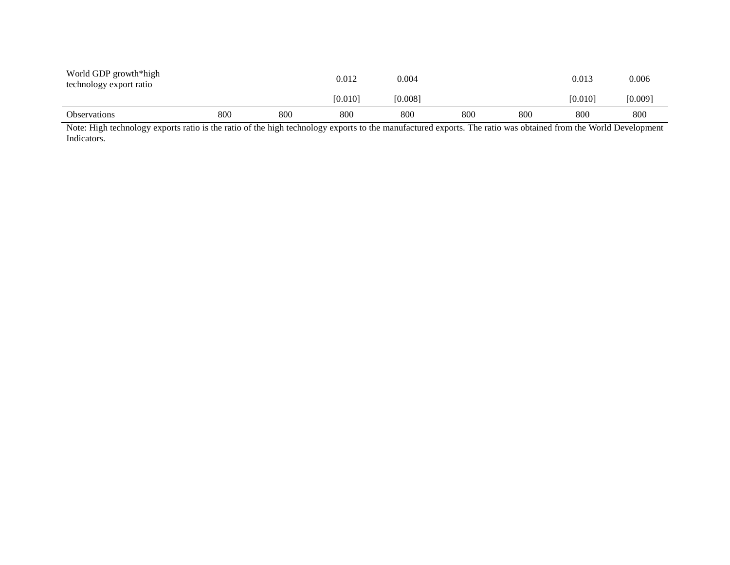| World GDP growth*high<br>technology export ratio |     |     | 0.012   | 0.004   |     |     | 0.013   | 0.006   |
|--------------------------------------------------|-----|-----|---------|---------|-----|-----|---------|---------|
|                                                  |     |     | [0.010] | [0.008] |     |     | [0.010] | [0.009] |
| <b>Observations</b>                              | 800 | 800 | 800     | 800     | 800 | 800 | 800     | 800     |

Note: High technology exports ratio is the ratio of the high technology exports to the manufactured exports. The ratio was obtained from the World Development Indicators.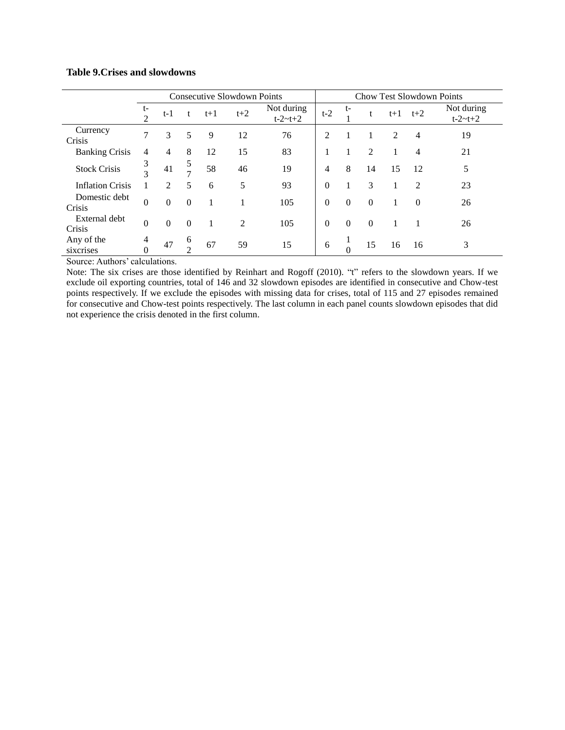#### **Table 9.Crises and slowdowns**

|                         | <b>Consecutive Slowdown Points</b> |                |                    |       |                |                               | <b>Chow Test Slowdown Points</b> |                |          |       |                |                               |
|-------------------------|------------------------------------|----------------|--------------------|-------|----------------|-------------------------------|----------------------------------|----------------|----------|-------|----------------|-------------------------------|
|                         | t-<br>$\overline{2}$               | t-1            | t                  | $t+1$ | $t+2$          | Not during<br>$t - 2 - t + 2$ | $t-2$                            | t-             | t        | $t+1$ | $t+2$          | Not during<br>$t - 2 - t + 2$ |
| Currency<br>Crisis      | $\tau$                             | 3              | 5                  | 9     | 12             | 76                            | $\mathcal{D}$                    |                |          | 2     | 4              | 19                            |
| <b>Banking Crisis</b>   | 4                                  | 4              | 8                  | 12    | 15             | 83                            |                                  |                | 2        |       | 4              | 21                            |
| <b>Stock Crisis</b>     | 3<br>$\mathcal{R}$                 | 41             | 5<br>$\mathbf{r}$  | 58    | 46             | 19                            | $\overline{4}$                   | 8              | 14       | 15    | 12             | 5                             |
| <b>Inflation Crisis</b> |                                    | $\overline{2}$ | 5                  | 6     | 5              | 93                            | $\Omega$                         |                | 3        |       | $\overline{c}$ | 23                            |
| Domestic debt<br>Crisis | $\boldsymbol{0}$                   | $\theta$       | $\Omega$           |       |                | 105                           | $\Omega$                         | $\overline{0}$ | $\theta$ |       | $\Omega$       | 26                            |
| External debt<br>Crisis | $\theta$                           | $\Omega$       | $\Omega$           |       | $\overline{2}$ | 105                           | $\Omega$                         | $\theta$       | $\Omega$ |       |                | 26                            |
| Any of the<br>sixcrises | 4<br>$\overline{0}$                | 47             | 6<br>$\mathcal{L}$ | 67    | 59             | 15                            | 6                                | $\theta$       | 15       | 16    | 16             | 3                             |

Source: Authors' calculations.

Note: The six crises are those identified by Reinhart and Rogoff (2010). "t" refers to the slowdown years. If we exclude oil exporting countries, total of 146 and 32 slowdown episodes are identified in consecutive and Chow-test points respectively. If we exclude the episodes with missing data for crises, total of 115 and 27 episodes remained for consecutive and Chow-test points respectively. The last column in each panel counts slowdown episodes that did not experience the crisis denoted in the first column.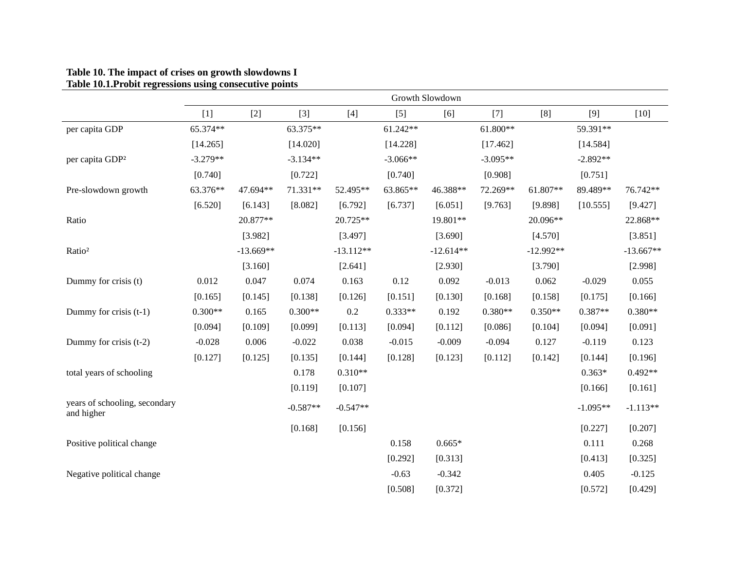#### **Table 10. The impact of crises on growth slowdowns I Table 10.1.Probit regressions using consecutive points**

|                                             | Growth Slowdown |             |            |             |            |             |            |             |            |             |
|---------------------------------------------|-----------------|-------------|------------|-------------|------------|-------------|------------|-------------|------------|-------------|
|                                             | $[1]$           | $[2]$       | $[3]$      | $[4]$       | $[5]$      | [6]         | $[7]$      | [8]         | $[9]$      | $[10]$      |
| per capita GDP                              | 65.374**        |             | 63.375**   |             | 61.242**   |             | $61.800**$ |             | 59.391**   |             |
|                                             | [14.265]        |             | [14.020]   |             | [14.228]   |             | [17.462]   |             | [14.584]   |             |
| per capita GDP <sup>2</sup>                 | $-3.279**$      |             | $-3.134**$ |             | $-3.066**$ |             | $-3.095**$ |             | $-2.892**$ |             |
|                                             | [0.740]         |             | [0.722]    |             | [0.740]    |             | [0.908]    |             | [0.751]    |             |
| Pre-slowdown growth                         | 63.376**        | 47.694**    | 71.331**   | 52.495**    | 63.865**   | 46.388**    | 72.269**   | 61.807**    | 89.489**   | 76.742**    |
|                                             | [6.520]         | [6.143]     | [8.082]    | [6.792]     | [6.737]    | [6.051]     | [9.763]    | [9.898]     | [10.555]   | [9.427]     |
| Ratio                                       |                 | 20.877**    |            | 20.725**    |            | 19.801**    |            | 20.096**    |            | 22.868**    |
|                                             |                 | [3.982]     |            | [3.497]     |            | [3.690]     |            | [4.570]     |            | [3.851]     |
| Ratio <sup>2</sup>                          |                 | $-13.669**$ |            | $-13.112**$ |            | $-12.614**$ |            | $-12.992**$ |            | $-13.667**$ |
|                                             |                 | [3.160]     |            | [2.641]     |            | [2.930]     |            | [3.790]     |            | [2.998]     |
| Dummy for crisis (t)                        | 0.012           | 0.047       | 0.074      | 0.163       | 0.12       | 0.092       | $-0.013$   | 0.062       | $-0.029$   | 0.055       |
|                                             | [0.165]         | [0.145]     | [0.138]    | [0.126]     | [0.151]    | [0.130]     | [0.168]    | [0.158]     | [0.175]    | [0.166]     |
| Dummy for crisis $(t-1)$                    | $0.300**$       | 0.165       | $0.300**$  | 0.2         | $0.333**$  | 0.192       | $0.380**$  | $0.350**$   | $0.387**$  | $0.380**$   |
|                                             | [0.094]         | [0.109]     | [0.099]    | [0.113]     | [0.094]    | [0.112]     | [0.086]    | [0.104]     | [0.094]    | [0.091]     |
| Dummy for crisis $(t-2)$                    | $-0.028$        | 0.006       | $-0.022$   | 0.038       | $-0.015$   | $-0.009$    | $-0.094$   | 0.127       | $-0.119$   | 0.123       |
|                                             | [0.127]         | [0.125]     | [0.135]    | [0.144]     | [0.128]    | [0.123]     | [0.112]    | [0.142]     | [0.144]    | [0.196]     |
| total years of schooling                    |                 |             | 0.178      | $0.310**$   |            |             |            |             | $0.363*$   | $0.492**$   |
|                                             |                 |             | [0.119]    | [0.107]     |            |             |            |             | [0.166]    | [0.161]     |
| years of schooling, secondary<br>and higher |                 |             | $-0.587**$ | $-0.547**$  |            |             |            |             | $-1.095**$ | $-1.113**$  |
|                                             |                 |             | [0.168]    | [0.156]     |            |             |            |             | [0.227]    | [0.207]     |
| Positive political change                   |                 |             |            |             | 0.158      | $0.665*$    |            |             | 0.111      | 0.268       |
|                                             |                 |             |            |             | [0.292]    | [0.313]     |            |             | [0.413]    | [0.325]     |
| Negative political change                   |                 |             |            |             | $-0.63$    | $-0.342$    |            |             | 0.405      | $-0.125$    |
|                                             |                 |             |            |             | [0.508]    | [0.372]     |            |             | [0.572]    | [0.429]     |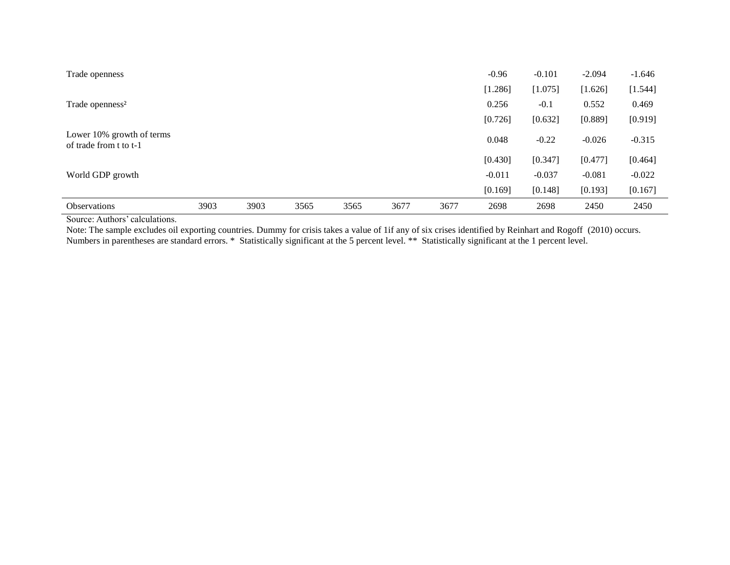| Trade openness                                      |      |      |      |      |      |      | $-0.96$  | $-0.101$ | $-2.094$ | $-1.646$ |
|-----------------------------------------------------|------|------|------|------|------|------|----------|----------|----------|----------|
|                                                     |      |      |      |      |      |      | [1.286]  | [1.075]  | [1.626]  | [1.544]  |
| Trade openness <sup>2</sup>                         |      |      |      |      |      |      | 0.256    | $-0.1$   | 0.552    | 0.469    |
|                                                     |      |      |      |      |      |      | [0.726]  | [0.632]  | [0.889]  | [0.919]  |
| Lower 10% growth of terms<br>of trade from t to t-1 |      |      |      |      |      |      | 0.048    | $-0.22$  | $-0.026$ | $-0.315$ |
|                                                     |      |      |      |      |      |      | [0.430]  | [0.347]  | [0.477]  | [0.464]  |
| World GDP growth                                    |      |      |      |      |      |      | $-0.011$ | $-0.037$ | $-0.081$ | $-0.022$ |
|                                                     |      |      |      |      |      |      | [0.169]  | [0.148]  | [0.193]  | [0.167]  |
| <b>Observations</b>                                 | 3903 | 3903 | 3565 | 3565 | 3677 | 3677 | 2698     | 2698     | 2450     | 2450     |

Source: Authors' calculations.

Note: The sample excludes oil exporting countries. Dummy for crisis takes a value of 1if any of six crises identified by Reinhart and Rogoff (2010) occurs. Numbers in parentheses are standard errors. \* Statistically significant at the 5 percent level. \*\* Statistically significant at the 1 percent level.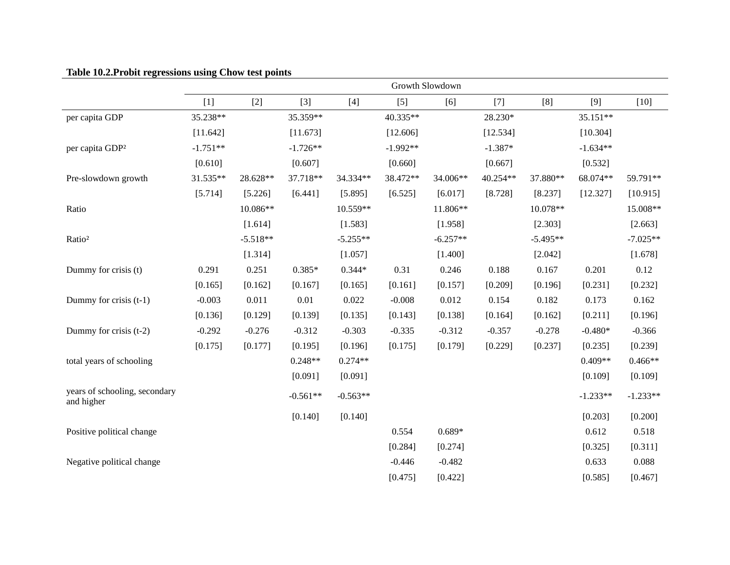| $10010 + 1011 + 10010 + 100$                | $\mathbf{r}$ | $\sim$     |            |            |            | Growth Slowdown |           |            |            |            |
|---------------------------------------------|--------------|------------|------------|------------|------------|-----------------|-----------|------------|------------|------------|
|                                             | $[1]$        | $[2]$      | $[3]$      | $[4]$      | $[5]$      | [6]             | $[7]$     | [8]        | [9]        | $[10]$     |
| per capita GDP                              | 35.238**     |            | 35.359**   |            | 40.335**   |                 | 28.230*   |            | 35.151**   |            |
|                                             | [11.642]     |            | [11.673]   |            | [12.606]   |                 | [12.534]  |            | [10.304]   |            |
| per capita GDP <sup>2</sup>                 | $-1.751**$   |            | $-1.726**$ |            | $-1.992**$ |                 | $-1.387*$ |            | $-1.634**$ |            |
|                                             | [0.610]      |            | [0.607]    |            | [0.660]    |                 | [0.667]   |            | [0.532]    |            |
| Pre-slowdown growth                         | 31.535**     | 28.628**   | 37.718**   | 34.334**   | 38.472**   | 34.006**        | 40.254**  | 37.880**   | 68.074**   | 59.791**   |
|                                             | [5.714]      | [5.226]    | [6.441]    | [5.895]    | [6.525]    | [6.017]         | [8.728]   | [8.237]    | [12.327]   | [10.915]   |
| Ratio                                       |              | 10.086**   |            | 10.559**   |            | 11.806**        |           | 10.078**   |            | 15.008**   |
|                                             |              | [1.614]    |            | [1.583]    |            | [1.958]         |           | [2.303]    |            | [2.663]    |
| Ratio <sup>2</sup>                          |              | $-5.518**$ |            | $-5.255**$ |            | $-6.257**$      |           | $-5.495**$ |            | $-7.025**$ |
|                                             |              | [1.314]    |            | [1.057]    |            | [1.400]         |           | [2.042]    |            | [1.678]    |
| Dummy for crisis (t)                        | 0.291        | 0.251      | $0.385*$   | $0.344*$   | 0.31       | 0.246           | 0.188     | 0.167      | 0.201      | 0.12       |
|                                             | [0.165]      | [0.162]    | [0.167]    | [0.165]    | [0.161]    | [0.157]         | [0.209]   | [0.196]    | [0.231]    | [0.232]    |
| Dummy for crisis $(t-1)$                    | $-0.003$     | 0.011      | 0.01       | 0.022      | $-0.008$   | 0.012           | 0.154     | 0.182      | 0.173      | 0.162      |
|                                             | [0.136]      | [0.129]    | [0.139]    | [0.135]    | [0.143]    | [0.138]         | [0.164]   | [0.162]    | [0.211]    | [0.196]    |
| Dummy for crisis (t-2)                      | $-0.292$     | $-0.276$   | $-0.312$   | $-0.303$   | $-0.335$   | $-0.312$        | $-0.357$  | $-0.278$   | $-0.480*$  | $-0.366$   |
|                                             | [0.175]      | [0.177]    | [0.195]    | [0.196]    | [0.175]    | [0.179]         | [0.229]   | [0.237]    | [0.235]    | [0.239]    |
| total years of schooling                    |              |            | $0.248**$  | $0.274**$  |            |                 |           |            | $0.409**$  | $0.466**$  |
|                                             |              |            | [0.091]    | [0.091]    |            |                 |           |            | [0.109]    | [0.109]    |
| years of schooling, secondary<br>and higher |              |            | $-0.561**$ | $-0.563**$ |            |                 |           |            | $-1.233**$ | $-1.233**$ |
|                                             |              |            | [0.140]    | [0.140]    |            |                 |           |            | [0.203]    | [0.200]    |
| Positive political change                   |              |            |            |            | 0.554      | $0.689*$        |           |            | 0.612      | 0.518      |
|                                             |              |            |            |            | [0.284]    | [0.274]         |           |            | [0.325]    | [0.311]    |
| Negative political change                   |              |            |            |            | $-0.446$   | $-0.482$        |           |            | 0.633      | 0.088      |
|                                             |              |            |            |            | [0.475]    | [0.422]         |           |            | [0.585]    | [0.467]    |

## **Table 10.2.Probit regressions using Chow test points**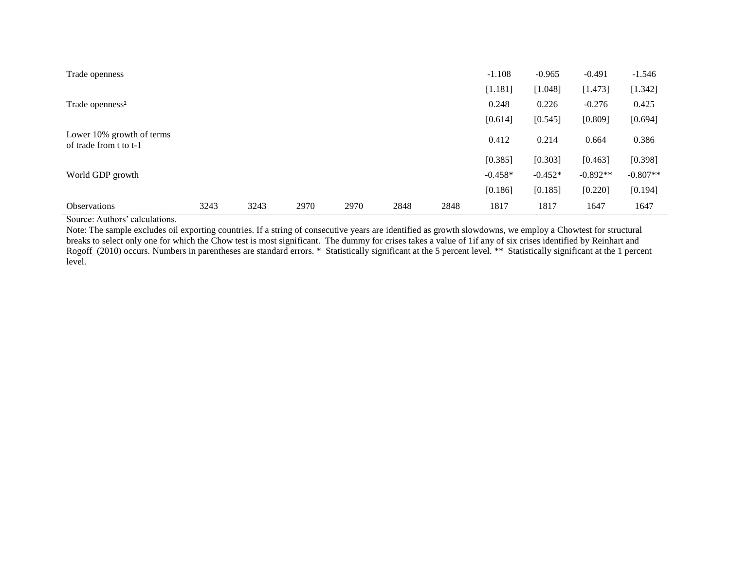| Trade openness                                      |      |      |      |      |      |      | $-1.108$  | $-0.965$  | $-0.491$   | $-1.546$   |
|-----------------------------------------------------|------|------|------|------|------|------|-----------|-----------|------------|------------|
|                                                     |      |      |      |      |      |      | [1.181]   | [1.048]   | [1.473]    | [1.342]    |
| Trade openness <sup>2</sup>                         |      |      |      |      |      |      | 0.248     | 0.226     | $-0.276$   | 0.425      |
|                                                     |      |      |      |      |      |      | [0.614]   | [0.545]   | [0.809]    | [0.694]    |
| Lower 10% growth of terms<br>of trade from t to t-1 |      |      |      |      |      |      | 0.412     | 0.214     | 0.664      | 0.386      |
|                                                     |      |      |      |      |      |      | [0.385]   | [0.303]   | [0.463]    | [0.398]    |
| World GDP growth                                    |      |      |      |      |      |      | $-0.458*$ | $-0.452*$ | $-0.892**$ | $-0.807**$ |
|                                                     |      |      |      |      |      |      | [0.186]   | [0.185]   | [0.220]    | [0.194]    |
| <b>Observations</b>                                 | 3243 | 3243 | 2970 | 2970 | 2848 | 2848 | 1817      | 1817      | 1647       | 1647       |

Source: Authors' calculations.

Note: The sample excludes oil exporting countries. If a string of consecutive years are identified as growth slowdowns, we employ a Chowtest for structural breaks to select only one for which the Chow test is most significant. The dummy for crises takes a value of 1if any of six crises identified by Reinhart and Rogoff (2010) occurs. Numbers in parentheses are standard errors. \* Statistically significant at the 5 percent level. \*\* Statistically significant at the 1 percent level.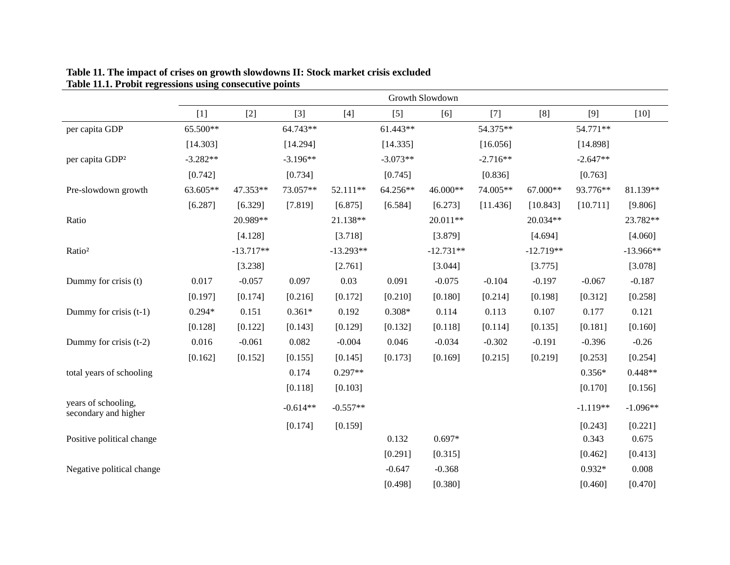|                                             |            | Growth Slowdown |            |             |            |             |            |             |            |             |  |
|---------------------------------------------|------------|-----------------|------------|-------------|------------|-------------|------------|-------------|------------|-------------|--|
|                                             | $[1]$      | $[2]$           | $[3]$      | $[4]$       | $[5]$      | [6]         | $[7]$      | [8]         | [9]        | $[10]$      |  |
| per capita GDP                              | 65.500**   |                 | 64.743**   |             | $61.443**$ |             | 54.375**   |             | 54.771**   |             |  |
|                                             | [14.303]   |                 | [14.294]   |             | [14.335]   |             | [16.056]   |             | [14.898]   |             |  |
| per capita GDP <sup>2</sup>                 | $-3.282**$ |                 | $-3.196**$ |             | $-3.073**$ |             | $-2.716**$ |             | $-2.647**$ |             |  |
|                                             | [0.742]    |                 | [0.734]    |             | [0.745]    |             | [0.836]    |             | [0.763]    |             |  |
| Pre-slowdown growth                         | 63.605**   | 47.353**        | 73.057**   | 52.111**    | 64.256**   | 46.000**    | 74.005**   | 67.000**    | 93.776**   | 81.139**    |  |
|                                             | [6.287]    | [6.329]         | [7.819]    | [6.875]     | [6.584]    | [6.273]     | [11.436]   | [10.843]    | [10.711]   | [9.806]     |  |
| Ratio                                       |            | 20.989**        |            | 21.138**    |            | 20.011**    |            | 20.034**    |            | 23.782**    |  |
|                                             |            | [4.128]         |            | [3.718]     |            | [3.879]     |            | [4.694]     |            | [4.060]     |  |
| Ratio <sup>2</sup>                          |            | $-13.717**$     |            | $-13.293**$ |            | $-12.731**$ |            | $-12.719**$ |            | $-13.966**$ |  |
|                                             |            | [3.238]         |            | [2.761]     |            | [3.044]     |            | [3.775]     |            | [3.078]     |  |
| Dummy for crisis (t)                        | 0.017      | $-0.057$        | 0.097      | 0.03        | 0.091      | $-0.075$    | $-0.104$   | $-0.197$    | $-0.067$   | $-0.187$    |  |
|                                             | [0.197]    | [0.174]         | [0.216]    | [0.172]     | [0.210]    | [0.180]     | [0.214]    | [0.198]     | [0.312]    | [0.258]     |  |
| Dummy for crisis (t-1)                      | $0.294*$   | 0.151           | $0.361*$   | 0.192       | $0.308*$   | 0.114       | 0.113      | 0.107       | 0.177      | 0.121       |  |
|                                             | [0.128]    | [0.122]         | [0.143]    | [0.129]     | [0.132]    | [0.118]     | [0.114]    | [0.135]     | [0.181]    | [0.160]     |  |
| Dummy for crisis (t-2)                      | 0.016      | $-0.061$        | 0.082      | $-0.004$    | 0.046      | $-0.034$    | $-0.302$   | $-0.191$    | $-0.396$   | $-0.26$     |  |
|                                             | [0.162]    | [0.152]         | [0.155]    | [0.145]     | [0.173]    | [0.169]     | [0.215]    | [0.219]     | [0.253]    | [0.254]     |  |
| total years of schooling                    |            |                 | 0.174      | $0.297**$   |            |             |            |             | $0.356*$   | $0.448**$   |  |
|                                             |            |                 | [0.118]    | [0.103]     |            |             |            |             | [0.170]    | [0.156]     |  |
| years of schooling,<br>secondary and higher |            |                 | $-0.614**$ | $-0.557**$  |            |             |            |             | $-1.119**$ | $-1.096**$  |  |
|                                             |            |                 | [0.174]    | [0.159]     |            |             |            |             | [0.243]    | [0.221]     |  |
| Positive political change                   |            |                 |            |             | 0.132      | $0.697*$    |            |             | 0.343      | 0.675       |  |
|                                             |            |                 |            |             | [0.291]    | [0.315]     |            |             | [0.462]    | [0.413]     |  |
| Negative political change                   |            |                 |            |             | $-0.647$   | $-0.368$    |            |             | $0.932*$   | 0.008       |  |
|                                             |            |                 |            |             | [0.498]    | [0.380]     |            |             | [0.460]    | [0.470]     |  |

#### **Table 11. The impact of crises on growth slowdowns II: Stock market crisis excluded Table 11.1. Probit regressions using consecutive points**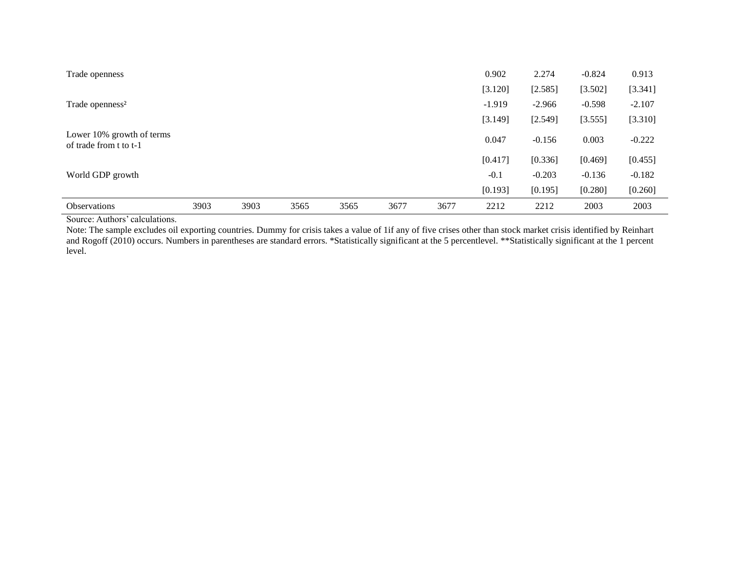| Trade openness                                      |      |      |      |      |      |      | 0.902    | 2.274    | $-0.824$ | 0.913    |
|-----------------------------------------------------|------|------|------|------|------|------|----------|----------|----------|----------|
|                                                     |      |      |      |      |      |      | [3.120]  | [2.585]  | [3.502]  | [3.341]  |
| Trade openness <sup>2</sup>                         |      |      |      |      |      |      | $-1.919$ | $-2.966$ | $-0.598$ | $-2.107$ |
|                                                     |      |      |      |      |      |      | [3.149]  | [2.549]  | [3.555]  | [3.310]  |
| Lower 10% growth of terms<br>of trade from t to t-1 |      |      |      |      |      |      | 0.047    | $-0.156$ | 0.003    | $-0.222$ |
|                                                     |      |      |      |      |      |      | [0.417]  | [0.336]  | [0.469]  | [0.455]  |
| World GDP growth                                    |      |      |      |      |      |      | $-0.1$   | $-0.203$ | $-0.136$ | $-0.182$ |
|                                                     |      |      |      |      |      |      | [0.193]  | [0.195]  | [0.280]  | [0.260]  |
| <b>Observations</b>                                 | 3903 | 3903 | 3565 | 3565 | 3677 | 3677 | 2212     | 2212     | 2003     | 2003     |

Source: Authors' calculations.

Note: The sample excludes oil exporting countries. Dummy for crisis takes a value of 1if any of five crises other than stock market crisis identified by Reinhart and Rogoff (2010) occurs. Numbers in parentheses are standard errors. \*Statistically significant at the 5 percentlevel. \*\*Statistically significant at the 1 percent level.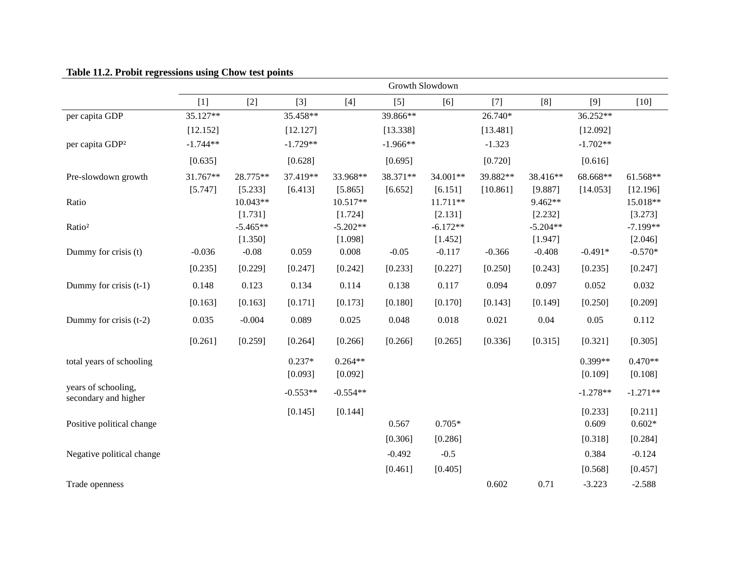|                                             |            |                       |            |                       |            | Growth Slowdown       |          |                       |            |                       |
|---------------------------------------------|------------|-----------------------|------------|-----------------------|------------|-----------------------|----------|-----------------------|------------|-----------------------|
|                                             | $[1]$      | $[2]$                 | $[3]$      | $[4]$                 | $[5]$      | [6]                   | $[7]$    | [8]                   | $[9]$      | $[10]$                |
| per capita GDP                              | 35.127**   |                       | 35.458**   |                       | 39.866**   |                       | 26.740*  |                       | 36.252**   |                       |
|                                             | [12.152]   |                       | [12.127]   |                       | [13.338]   |                       | [13.481] |                       | [12.092]   |                       |
| per capita GDP <sup>2</sup>                 | $-1.744**$ |                       | $-1.729**$ |                       | $-1.966**$ |                       | $-1.323$ |                       | $-1.702**$ |                       |
|                                             | [0.635]    |                       | [0.628]    |                       | [0.695]    |                       | [0.720]  |                       | [0.616]    |                       |
| Pre-slowdown growth                         | 31.767**   | 28.775**              | 37.419**   | 33.968**              | 38.371**   | 34.001**              | 39.882** | 38.416**              | 68.668**   | 61.568**              |
|                                             | [5.747]    | [5.233]               | [6.413]    | [5.865]               | [6.652]    | [6.151]               | [10.861] | [9.887]               | [14.053]   | [12.196]              |
| Ratio                                       |            | $10.043**$            |            | $10.517**$            |            | $11.711**$            |          | 9.462**               |            | 15.018**              |
| Ratio <sup>2</sup>                          |            | [1.731]<br>$-5.465**$ |            | [1.724]<br>$-5.202**$ |            | [2.131]<br>$-6.172**$ |          | [2.232]<br>$-5.204**$ |            | [3.273]<br>$-7.199**$ |
|                                             |            | [1.350]               |            | [1.098]               |            | [1.452]               |          | [1.947]               |            | [2.046]               |
| Dummy for crisis (t)                        | $-0.036$   | $-0.08$               | 0.059      | 0.008                 | $-0.05$    | $-0.117$              | $-0.366$ | $-0.408$              | $-0.491*$  | $-0.570*$             |
|                                             | [0.235]    | [0.229]               | [0.247]    | [0.242]               | [0.233]    | [0.227]               | [0.250]  | [0.243]               | [0.235]    | [0.247]               |
| Dummy for crisis $(t-1)$                    | 0.148      | 0.123                 | 0.134      | 0.114                 | 0.138      | 0.117                 | 0.094    | 0.097                 | 0.052      | 0.032                 |
|                                             | [0.163]    | [0.163]               | [0.171]    | [0.173]               | [0.180]    | [0.170]               | [0.143]  | [0.149]               | [0.250]    | [0.209]               |
| Dummy for crisis (t-2)                      | 0.035      | $-0.004$              | 0.089      | 0.025                 | 0.048      | 0.018                 | 0.021    | 0.04                  | 0.05       | 0.112                 |
|                                             | [0.261]    | [0.259]               | [0.264]    | [0.266]               | [0.266]    | [0.265]               | [0.336]  | [0.315]               | [0.321]    | [0.305]               |
| total years of schooling                    |            |                       | $0.237*$   | $0.264**$             |            |                       |          |                       | $0.399**$  | $0.470**$             |
|                                             |            |                       | [0.093]    | [0.092]               |            |                       |          |                       | [0.109]    | [0.108]               |
| years of schooling,<br>secondary and higher |            |                       | $-0.553**$ | $-0.554**$            |            |                       |          |                       | $-1.278**$ | $-1.271**$            |
|                                             |            |                       | [0.145]    | [0.144]               |            |                       |          |                       | [0.233]    | [0.211]               |
| Positive political change                   |            |                       |            |                       | 0.567      | $0.705*$              |          |                       | 0.609      | $0.602*$              |
|                                             |            |                       |            |                       | [0.306]    | [0.286]               |          |                       | [0.318]    | [0.284]               |
| Negative political change                   |            |                       |            |                       | $-0.492$   | $-0.5$                |          |                       | 0.384      | $-0.124$              |
|                                             |            |                       |            |                       | [0.461]    | [0.405]               |          |                       | [0.568]    | [0.457]               |
| Trade openness                              |            |                       |            |                       |            |                       | 0.602    | 0.71                  | $-3.223$   | $-2.588$              |

# **Table 11.2. Probit regressions using Chow test points**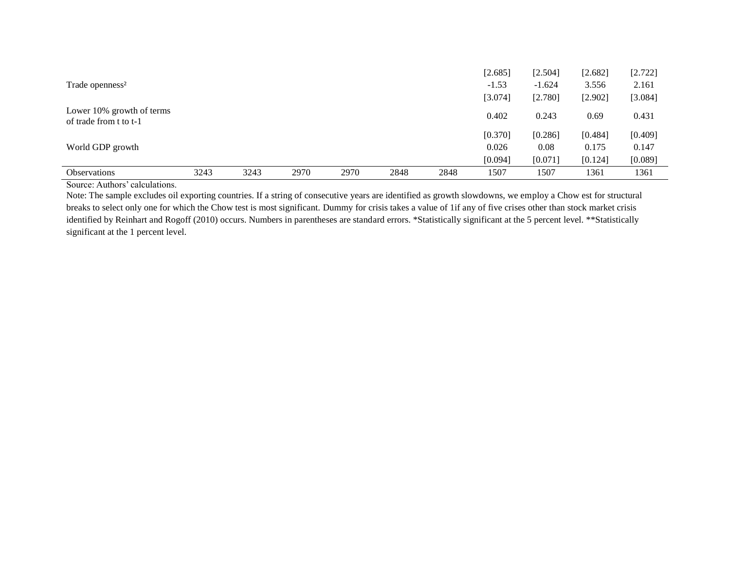|                                                     |      |      |      |      |      |      | [2.685] | [2.504]  | [2.682] | [2.722] |
|-----------------------------------------------------|------|------|------|------|------|------|---------|----------|---------|---------|
| Trade openness <sup>2</sup>                         |      |      |      |      |      |      | $-1.53$ | $-1.624$ | 3.556   | 2.161   |
|                                                     |      |      |      |      |      |      | [3.074] | [2.780]  | [2.902] | [3.084] |
| Lower 10% growth of terms<br>of trade from t to t-1 |      |      |      |      |      |      | 0.402   | 0.243    | 0.69    | 0.431   |
|                                                     |      |      |      |      |      |      | [0.370] | [0.286]  | [0.484] | [0.409] |
| World GDP growth                                    |      |      |      |      |      |      | 0.026   | 0.08     | 0.175   | 0.147   |
|                                                     |      |      |      |      |      |      | [0.094] | [0.071]  | [0.124] | [0.089] |
| <b>Observations</b>                                 | 3243 | 3243 | 2970 | 2970 | 2848 | 2848 | 1507    | 1507     | 1361    | 1361    |
|                                                     |      |      |      |      |      |      |         |          |         |         |

Source: Authors' calculations.

Note: The sample excludes oil exporting countries. If a string of consecutive years are identified as growth slowdowns, we employ a Chow est for structural breaks to select only one for which the Chow test is most significant. Dummy for crisis takes a value of 1if any of five crises other than stock market crisis identified by Reinhart and Rogoff (2010) occurs. Numbers in parentheses are standard errors. \*Statistically significant at the 5 percent level. \*\*Statistically significant at the 1 percent level.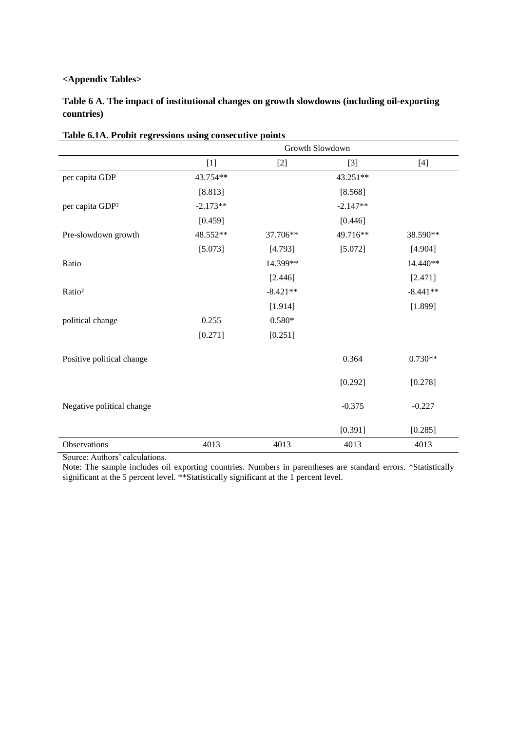# **<Appendix Tables>**

**Table 6 A. The impact of institutional changes on growth slowdowns (including oil-exporting countries)**

|                             | Growth Slowdown |            |            |            |  |  |  |  |  |  |
|-----------------------------|-----------------|------------|------------|------------|--|--|--|--|--|--|
|                             | $[1]$           | $[2]$      | $[3]$      | $[4]$      |  |  |  |  |  |  |
| per capita GDP              | 43.754**        |            | 43.251**   |            |  |  |  |  |  |  |
|                             | [8.813]         |            | [8.568]    |            |  |  |  |  |  |  |
| per capita GDP <sup>2</sup> | $-2.173**$      |            | $-2.147**$ |            |  |  |  |  |  |  |
|                             | [0.459]         |            | [0.446]    |            |  |  |  |  |  |  |
| Pre-slowdown growth         | 48.552**        | 37.706**   | 49.716**   | 38.590**   |  |  |  |  |  |  |
|                             | [5.073]         | [4.793]    | [5.072]    | [4.904]    |  |  |  |  |  |  |
| Ratio                       |                 | 14.399**   |            | 14.440**   |  |  |  |  |  |  |
|                             |                 | [2.446]    |            | [2.471]    |  |  |  |  |  |  |
| Ratio <sup>2</sup>          |                 | $-8.421**$ |            | $-8.441**$ |  |  |  |  |  |  |
|                             |                 | [1.914]    |            | [1.899]    |  |  |  |  |  |  |
| political change            | 0.255           | $0.580*$   |            |            |  |  |  |  |  |  |
|                             | [0.271]         | [0.251]    |            |            |  |  |  |  |  |  |
| Positive political change   |                 |            | 0.364      | $0.730**$  |  |  |  |  |  |  |
|                             |                 |            | [0.292]    | [0.278]    |  |  |  |  |  |  |
| Negative political change   |                 |            | $-0.375$   | $-0.227$   |  |  |  |  |  |  |
|                             |                 |            | [0.391]    | [0.285]    |  |  |  |  |  |  |
| Observations                | 4013            | 4013       | 4013       | 4013       |  |  |  |  |  |  |

|  |  | Table 6.1A. Probit regressions using consecutive points |  |
|--|--|---------------------------------------------------------|--|
|  |  |                                                         |  |

Source: Authors' calculations.

Note: The sample includes oil exporting countries. Numbers in parentheses are standard errors. \*Statistically significant at the 5 percent level. \*\*Statistically significant at the 1 percent level.